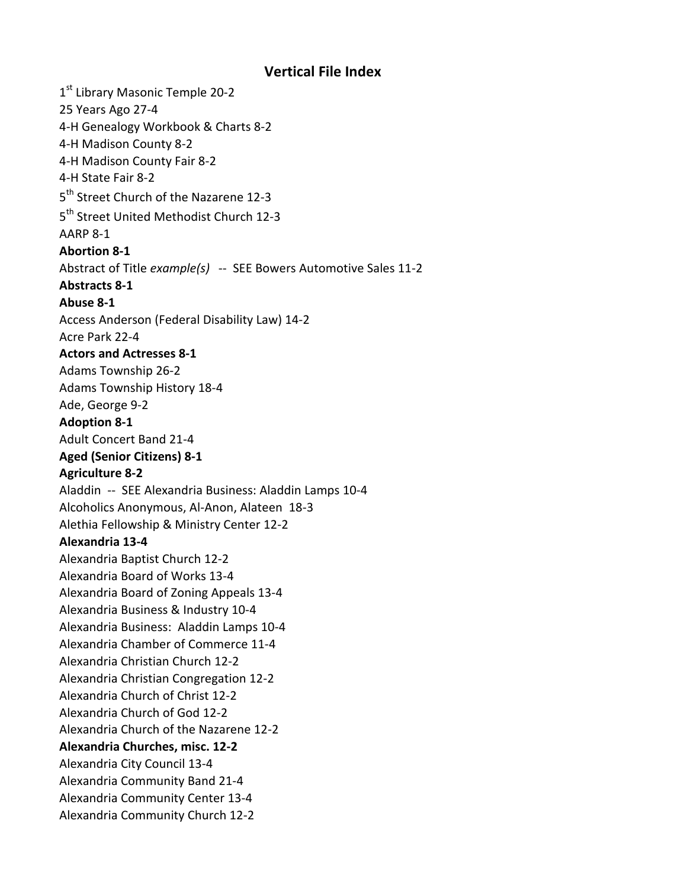## **Vertical File Index**

1<sup>st</sup> Library Masonic Temple 20-2 25 Years Ago 27-4 4-H Genealogy Workbook & Charts 8-2 4-H Madison County 8-2 4-H Madison County Fair 8-2 4-H State Fair 8-2 5<sup>th</sup> Street Church of the Nazarene 12-3 5<sup>th</sup> Street United Methodist Church 12-3 AARP 8-1 **Abortion 8-1** Abstract of Title *example(s)* -- SEE Bowers Automotive Sales 11-2 **Abstracts 8-1 Abuse 8-1** Access Anderson (Federal Disability Law) 14-2 Acre Park 22-4 **Actors and Actresses 8-1** Adams Township 26-2 Adams Township History 18-4 Ade, George 9-2 **Adoption 8-1** Adult Concert Band 21-4 **Aged (Senior Citizens) 8-1 Agriculture 8-2** Aladdin -- SEE Alexandria Business: Aladdin Lamps 10-4 Alcoholics Anonymous, Al-Anon, Alateen 18-3 Alethia Fellowship & Ministry Center 12-2 **Alexandria 13-4** Alexandria Baptist Church 12-2 Alexandria Board of Works 13-4 Alexandria Board of Zoning Appeals 13-4 Alexandria Business & Industry 10-4 Alexandria Business: Aladdin Lamps 10-4 Alexandria Chamber of Commerce 11-4 Alexandria Christian Church 12-2 Alexandria Christian Congregation 12-2 Alexandria Church of Christ 12-2 Alexandria Church of God 12-2 Alexandria Church of the Nazarene 12-2 **Alexandria Churches, misc. 12-2** Alexandria City Council 13-4 Alexandria Community Band 21-4 Alexandria Community Center 13-4 Alexandria Community Church 12-2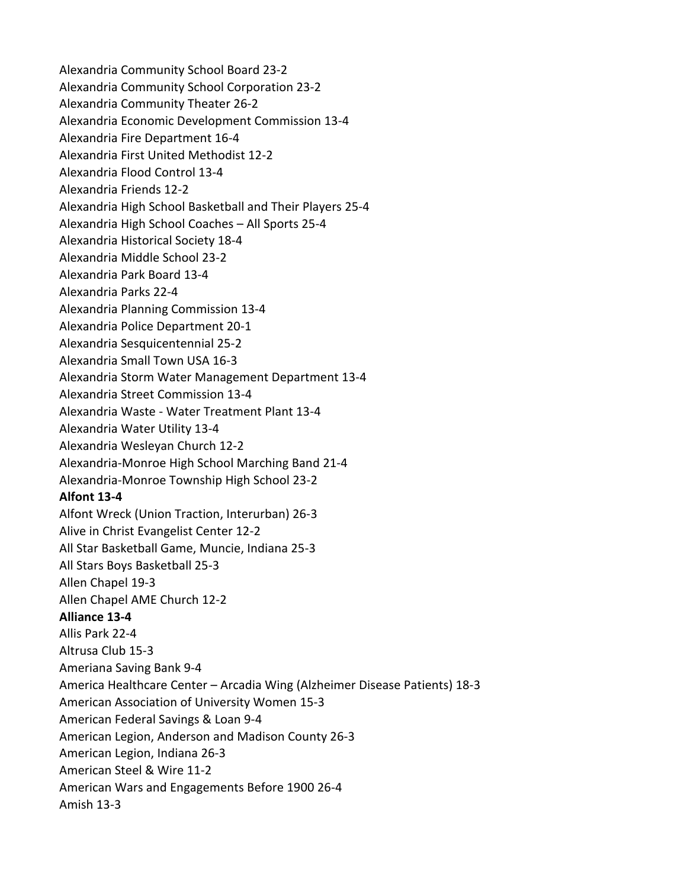Alexandria Community School Board 23-2 Alexandria Community School Corporation 23-2 Alexandria Community Theater 26-2 Alexandria Economic Development Commission 13-4 Alexandria Fire Department 16-4 Alexandria First United Methodist 12-2 Alexandria Flood Control 13-4 Alexandria Friends 12-2 Alexandria High School Basketball and Their Players 25-4 Alexandria High School Coaches – All Sports 25-4 Alexandria Historical Society 18-4 Alexandria Middle School 23-2 Alexandria Park Board 13-4 Alexandria Parks 22-4 Alexandria Planning Commission 13-4 Alexandria Police Department 20-1 Alexandria Sesquicentennial 25-2 Alexandria Small Town USA 16-3 Alexandria Storm Water Management Department 13-4 Alexandria Street Commission 13-4 Alexandria Waste - Water Treatment Plant 13-4 Alexandria Water Utility 13-4 Alexandria Wesleyan Church 12-2 Alexandria-Monroe High School Marching Band 21-4 Alexandria-Monroe Township High School 23-2 **Alfont 13-4** Alfont Wreck (Union Traction, Interurban) 26-3 Alive in Christ Evangelist Center 12-2 All Star Basketball Game, Muncie, Indiana 25-3 All Stars Boys Basketball 25-3 Allen Chapel 19-3 Allen Chapel AME Church 12-2 **Alliance 13-4** Allis Park 22-4 Altrusa Club 15-3 Ameriana Saving Bank 9-4 America Healthcare Center – Arcadia Wing (Alzheimer Disease Patients) 18-3 American Association of University Women 15-3 American Federal Savings & Loan 9-4 American Legion, Anderson and Madison County 26-3 American Legion, Indiana 26-3 American Steel & Wire 11-2 American Wars and Engagements Before 1900 26-4 Amish 13-3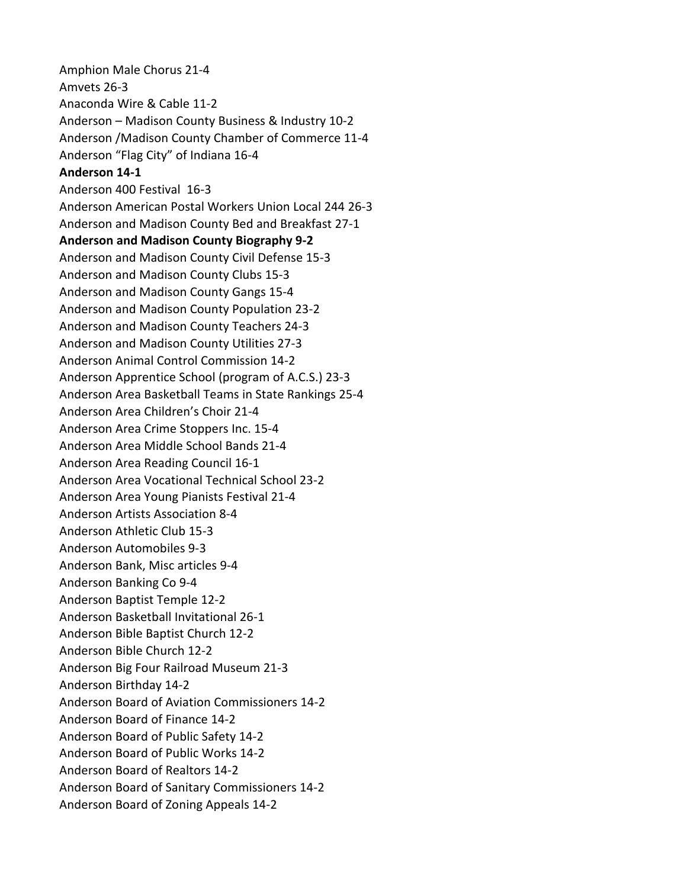Amphion Male Chorus 21-4 Amvets 26-3 Anaconda Wire & Cable 11-2 Anderson – Madison County Business & Industry 10-2 Anderson /Madison County Chamber of Commerce 11-4 Anderson "Flag City" of Indiana 16-4 **Anderson 14-1** Anderson 400 Festival 16-3 Anderson American Postal Workers Union Local 244 26-3 Anderson and Madison County Bed and Breakfast 27-1 **Anderson and Madison County Biography 9-2** Anderson and Madison County Civil Defense 15-3 Anderson and Madison County Clubs 15-3 Anderson and Madison County Gangs 15-4 Anderson and Madison County Population 23-2 Anderson and Madison County Teachers 24-3 Anderson and Madison County Utilities 27-3 Anderson Animal Control Commission 14-2 Anderson Apprentice School (program of A.C.S.) 23-3 Anderson Area Basketball Teams in State Rankings 25-4 Anderson Area Children's Choir 21-4 Anderson Area Crime Stoppers Inc. 15-4 Anderson Area Middle School Bands 21-4 Anderson Area Reading Council 16-1 Anderson Area Vocational Technical School 23-2 Anderson Area Young Pianists Festival 21-4 Anderson Artists Association 8-4 Anderson Athletic Club 15-3 Anderson Automobiles 9-3 Anderson Bank, Misc articles 9-4 Anderson Banking Co 9-4 Anderson Baptist Temple 12-2 Anderson Basketball Invitational 26-1 Anderson Bible Baptist Church 12-2 Anderson Bible Church 12-2 Anderson Big Four Railroad Museum 21-3 Anderson Birthday 14-2 Anderson Board of Aviation Commissioners 14-2 Anderson Board of Finance 14-2 Anderson Board of Public Safety 14-2 Anderson Board of Public Works 14-2 Anderson Board of Realtors 14-2 Anderson Board of Sanitary Commissioners 14-2 Anderson Board of Zoning Appeals 14-2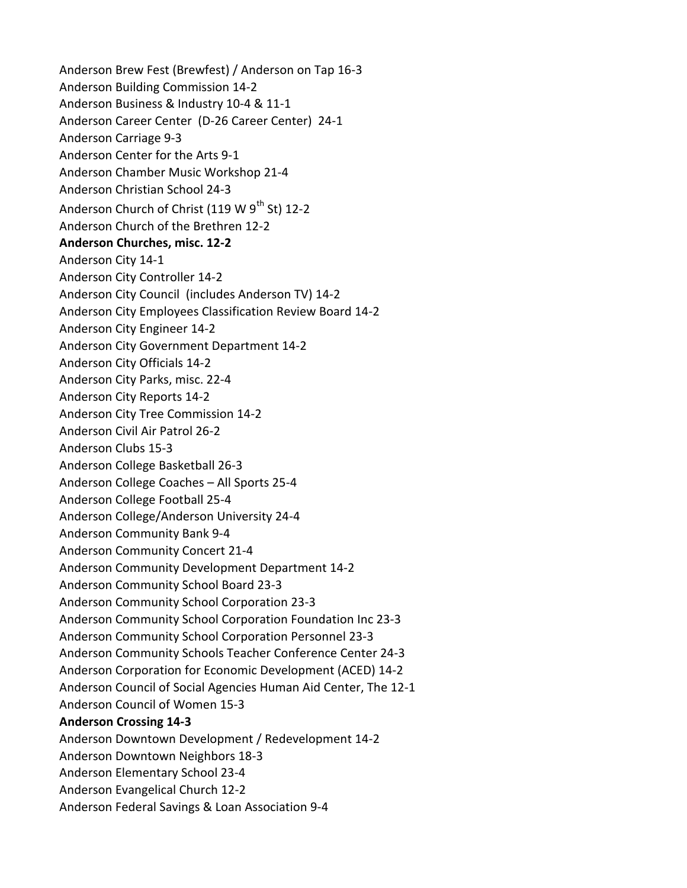Anderson Brew Fest (Brewfest) / Anderson on Tap 16-3 Anderson Building Commission 14-2 Anderson Business & Industry 10-4 & 11-1 Anderson Career Center (D-26 Career Center) 24-1 Anderson Carriage 9-3 Anderson Center for the Arts 9-1 Anderson Chamber Music Workshop 21-4 Anderson Christian School 24-3 Anderson Church of Christ (119 W  $9^{th}$  St) 12-2 Anderson Church of the Brethren 12-2 **Anderson Churches, misc. 12-2** Anderson City 14-1 Anderson City Controller 14-2 Anderson City Council (includes Anderson TV) 14-2 Anderson City Employees Classification Review Board 14-2 Anderson City Engineer 14-2 Anderson City Government Department 14-2 Anderson City Officials 14-2 Anderson City Parks, misc. 22-4 Anderson City Reports 14-2 Anderson City Tree Commission 14-2 Anderson Civil Air Patrol 26-2 Anderson Clubs 15-3 Anderson College Basketball 26-3 Anderson College Coaches – All Sports 25-4 Anderson College Football 25-4 Anderson College/Anderson University 24-4 Anderson Community Bank 9-4 Anderson Community Concert 21-4 Anderson Community Development Department 14-2 Anderson Community School Board 23-3 Anderson Community School Corporation 23-3 Anderson Community School Corporation Foundation Inc 23-3 Anderson Community School Corporation Personnel 23-3 Anderson Community Schools Teacher Conference Center 24-3 Anderson Corporation for Economic Development (ACED) 14-2 Anderson Council of Social Agencies Human Aid Center, The 12-1 Anderson Council of Women 15-3 **Anderson Crossing 14-3** Anderson Downtown Development / Redevelopment 14-2 Anderson Downtown Neighbors 18-3 Anderson Elementary School 23-4 Anderson Evangelical Church 12-2 Anderson Federal Savings & Loan Association 9-4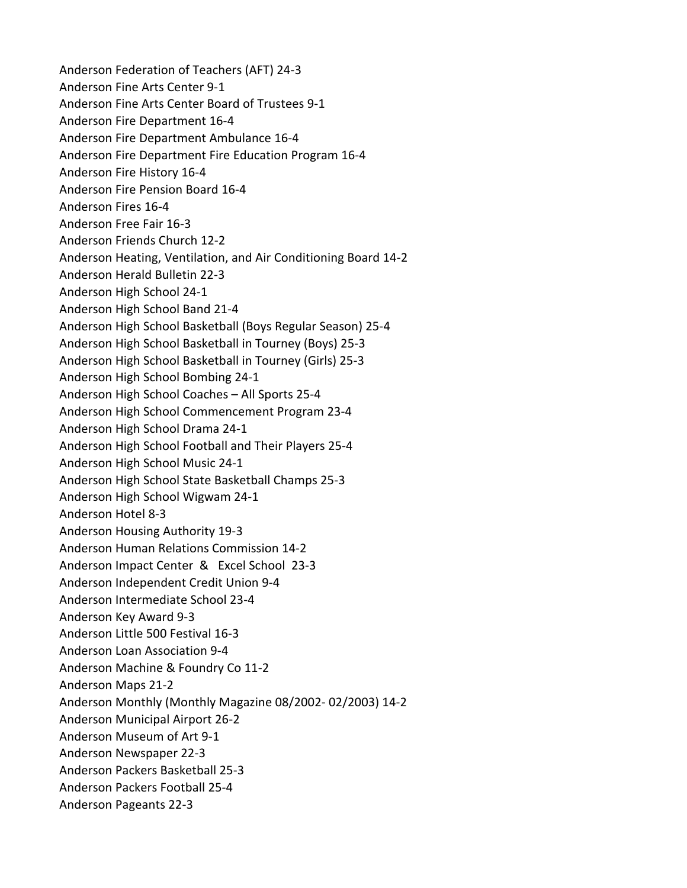Anderson Federation of Teachers (AFT) 24-3 Anderson Fine Arts Center 9-1 Anderson Fine Arts Center Board of Trustees 9-1 Anderson Fire Department 16-4 Anderson Fire Department Ambulance 16-4 Anderson Fire Department Fire Education Program 16-4 Anderson Fire History 16-4 Anderson Fire Pension Board 16-4 Anderson Fires 16-4 Anderson Free Fair 16-3 Anderson Friends Church 12-2 Anderson Heating, Ventilation, and Air Conditioning Board 14-2 Anderson Herald Bulletin 22-3 Anderson High School 24-1 Anderson High School Band 21-4 Anderson High School Basketball (Boys Regular Season) 25-4 Anderson High School Basketball in Tourney (Boys) 25-3 Anderson High School Basketball in Tourney (Girls) 25-3 Anderson High School Bombing 24-1 Anderson High School Coaches – All Sports 25-4 Anderson High School Commencement Program 23-4 Anderson High School Drama 24-1 Anderson High School Football and Their Players 25-4 Anderson High School Music 24-1 Anderson High School State Basketball Champs 25-3 Anderson High School Wigwam 24-1 Anderson Hotel 8-3 Anderson Housing Authority 19-3 Anderson Human Relations Commission 14-2 Anderson Impact Center & Excel School 23-3 Anderson Independent Credit Union 9-4 Anderson Intermediate School 23-4 Anderson Key Award 9-3 Anderson Little 500 Festival 16-3 Anderson Loan Association 9-4 Anderson Machine & Foundry Co 11-2 Anderson Maps 21-2 Anderson Monthly (Monthly Magazine 08/2002- 02/2003) 14-2 Anderson Municipal Airport 26-2 Anderson Museum of Art 9-1 Anderson Newspaper 22-3 Anderson Packers Basketball 25-3 Anderson Packers Football 25-4 Anderson Pageants 22-3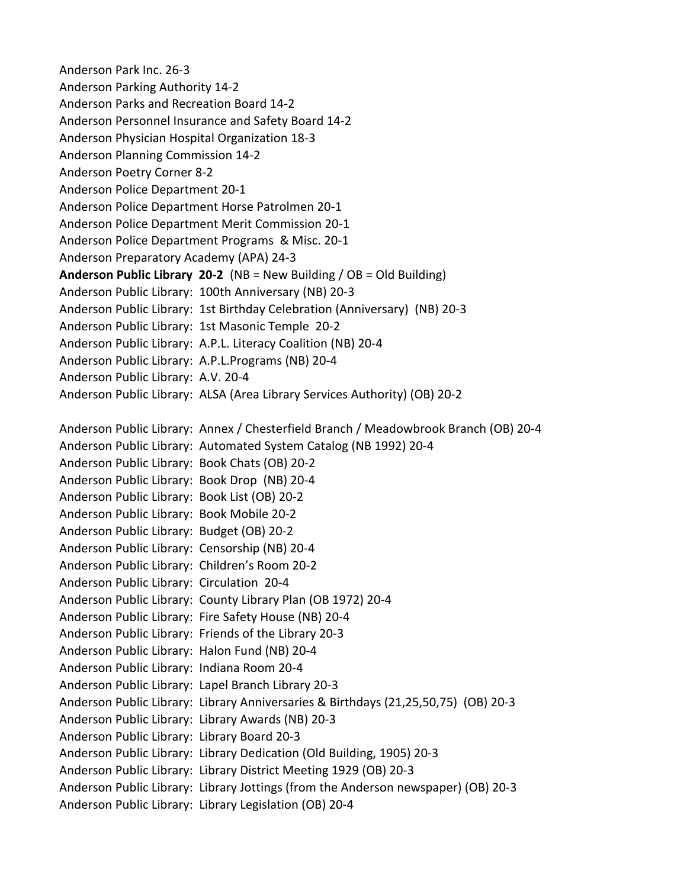Anderson Park Inc. 26-3 Anderson Parking Authority 14-2 Anderson Parks and Recreation Board 14-2 Anderson Personnel Insurance and Safety Board 14-2 Anderson Physician Hospital Organization 18-3 Anderson Planning Commission 14-2 Anderson Poetry Corner 8-2 Anderson Police Department 20-1 Anderson Police Department Horse Patrolmen 20-1 Anderson Police Department Merit Commission 20-1 Anderson Police Department Programs & Misc. 20-1 Anderson Preparatory Academy (APA) 24-3 **Anderson Public Library 20-2** (NB = New Building / OB = Old Building) Anderson Public Library: 100th Anniversary (NB) 20-3 Anderson Public Library: 1st Birthday Celebration (Anniversary) (NB) 20-3 Anderson Public Library: 1st Masonic Temple 20-2 Anderson Public Library: A.P.L. Literacy Coalition (NB) 20-4 Anderson Public Library: A.P.L.Programs (NB) 20-4 Anderson Public Library: A.V. 20-4 Anderson Public Library: ALSA (Area Library Services Authority) (OB) 20-2 Anderson Public Library: Annex / Chesterfield Branch / Meadowbrook Branch (OB) 20-4 Anderson Public Library: Automated System Catalog (NB 1992) 20-4 Anderson Public Library: Book Chats (OB) 20-2 Anderson Public Library: Book Drop (NB) 20-4 Anderson Public Library: Book List (OB) 20-2 Anderson Public Library: Book Mobile 20-2

Anderson Public Library: Budget (OB) 20-2 Anderson Public Library: Censorship (NB) 20-4 Anderson Public Library: Children's Room 20-2 Anderson Public Library: Circulation 20-4

Anderson Public Library: County Library Plan (OB 1972) 20-4

Anderson Public Library: Library Anniversaries & Birthdays (21,25,50,75) (OB) 20-3

Anderson Public Library: Library Jottings (from the Anderson newspaper) (OB) 20-3

Anderson Public Library: Library Dedication (Old Building, 1905) 20-3 Anderson Public Library: Library District Meeting 1929 (OB) 20-3

Anderson Public Library: Fire Safety House (NB) 20-4 Anderson Public Library: Friends of the Library 20-3 Anderson Public Library: Halon Fund (NB) 20-4 Anderson Public Library: Indiana Room 20-4

Anderson Public Library: Lapel Branch Library 20-3

Anderson Public Library: Library Awards (NB) 20-3

Anderson Public Library: Library Legislation (OB) 20-4

Anderson Public Library: Library Board 20-3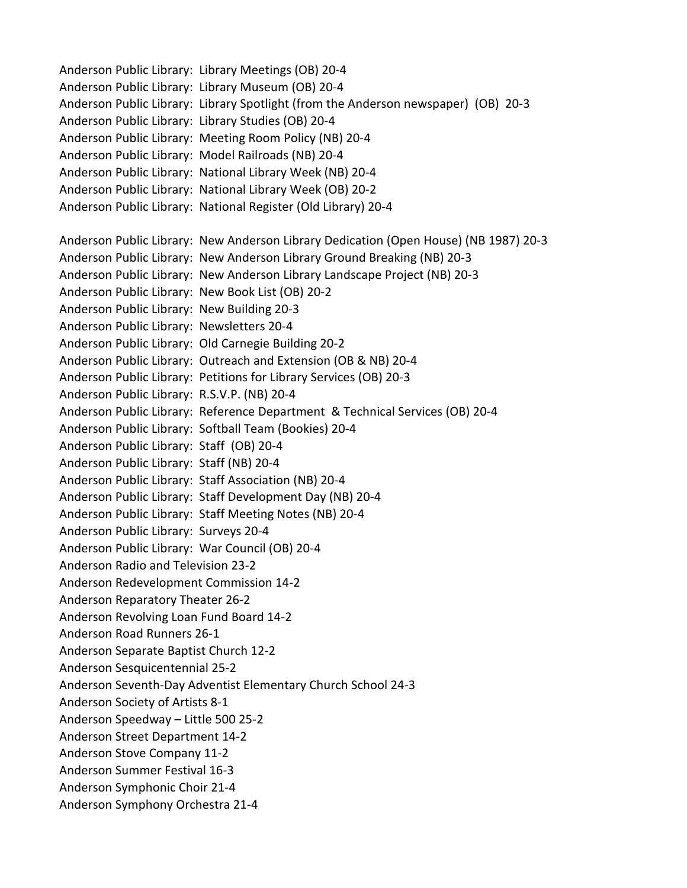Anderson Public Library: Library Meetings (OB) 20-4 Anderson Public Library: Library Museum (OB) 20-4 Anderson Public Library: Library Spotlight (from the Anderson newspaper) (OB) 20-3 Anderson Public Library: Library Studies (OB) 20-4 Anderson Public Library: Meeting Room Policy (NB) 20-4 Anderson Public Library: Model Railroads (NB) 20-4 Anderson Public Library: National Library Week (NB) 20-4 Anderson Public Library: National Library Week (OB) 20-2 Anderson Public Library: National Register (Old Library) 20-4 Anderson Public Library: New Anderson Library Dedication (Open House) (NB 1987) 20-3 Anderson Public Library: New Anderson Library Ground Breaking (NB) 20-3 Anderson Public Library: New Anderson Library Landscape Project (NB) 20-3 Anderson Public Library: New Book List (OB) 20-2 Anderson Public Library: New Building 20-3 Anderson Public Library: Newsletters 20-4 Anderson Public Library: Old Carnegie Building 20-2 Anderson Public Library: Outreach and Extension (OB & NB) 20-4 Anderson Public Library: Petitions for Library Services (OB) 20-3 Anderson Public Library: R.S.V.P. (NB) 20-4 Anderson Public Library: Reference Department & Technical Services (OB) 20-4 Anderson Public Library: Softball Team (Bookies) 20-4 Anderson Public Library: Staff (OB) 20-4 Anderson Public Library: Staff (NB) 20-4 Anderson Public Library: Staff Association (NB) 20-4 Anderson Public Library: Staff Development Day (NB) 20-4 Anderson Public Library: Staff Meeting Notes (NB) 20-4 Anderson Public Library: Surveys 20-4 Anderson Public Library: War Council (OB) 20-4 Anderson Radio and Television 23-2 Anderson Redevelopment Commission 14-2 Anderson Reparatory Theater 26-2 Anderson Revolving Loan Fund Board 14-2 Anderson Road Runners 26-1 Anderson Separate Baptist Church 12-2 Anderson Sesquicentennial 25-2 Anderson Seventh-Day Adventist Elementary Church School 24-3 Anderson Society of Artists 8-1 Anderson Speedway – Little 500 25-2 Anderson Street Department 14-2 Anderson Stove Company 11-2 Anderson Summer Festival 16-3 Anderson Symphonic Choir 21-4 Anderson Symphony Orchestra 21-4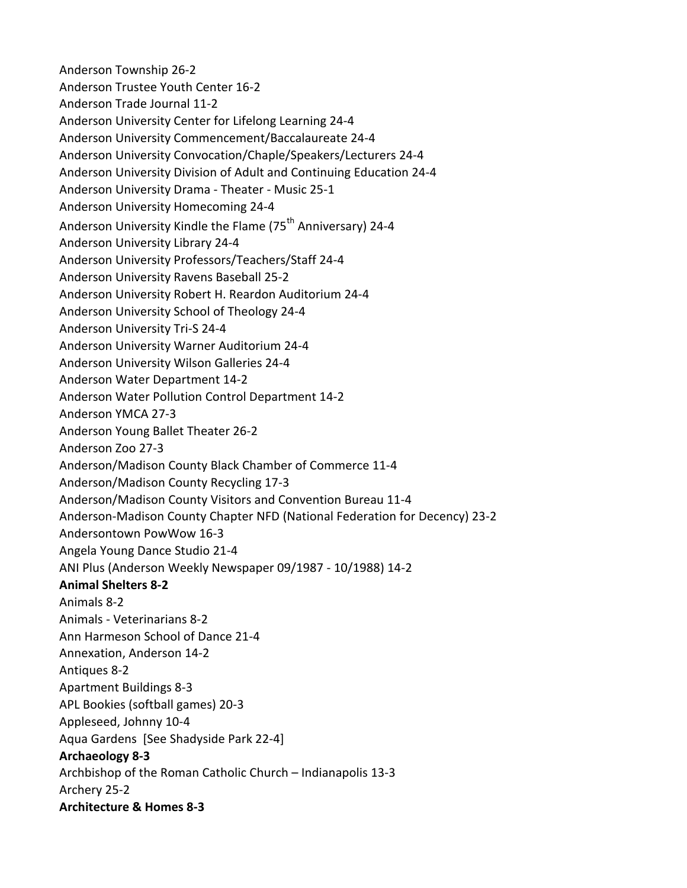Anderson Township 26-2 Anderson Trustee Youth Center 16-2 Anderson Trade Journal 11-2 Anderson University Center for Lifelong Learning 24-4 Anderson University Commencement/Baccalaureate 24-4 Anderson University Convocation/Chaple/Speakers/Lecturers 24-4 Anderson University Division of Adult and Continuing Education 24-4 Anderson University Drama - Theater - Music 25-1 Anderson University Homecoming 24-4 Anderson University Kindle the Flame (75<sup>th</sup> Anniversary) 24-4 Anderson University Library 24-4 Anderson University Professors/Teachers/Staff 24-4 Anderson University Ravens Baseball 25-2 Anderson University Robert H. Reardon Auditorium 24-4 Anderson University School of Theology 24-4 Anderson University Tri-S 24-4 Anderson University Warner Auditorium 24-4 Anderson University Wilson Galleries 24-4 Anderson Water Department 14-2 Anderson Water Pollution Control Department 14-2 Anderson YMCA 27-3 Anderson Young Ballet Theater 26-2 Anderson Zoo 27-3 Anderson/Madison County Black Chamber of Commerce 11-4 Anderson/Madison County Recycling 17-3 Anderson/Madison County Visitors and Convention Bureau 11-4 Anderson-Madison County Chapter NFD (National Federation for Decency) 23-2 Andersontown PowWow 16-3 Angela Young Dance Studio 21-4 ANI Plus (Anderson Weekly Newspaper 09/1987 - 10/1988) 14-2 **Animal Shelters 8-2** Animals 8-2 Animals - Veterinarians 8-2 Ann Harmeson School of Dance 21-4 Annexation, Anderson 14-2 Antiques 8-2 Apartment Buildings 8-3 APL Bookies (softball games) 20-3 Appleseed, Johnny 10-4 Aqua Gardens [See Shadyside Park 22-4] **Archaeology 8-3** Archbishop of the Roman Catholic Church – Indianapolis 13-3 Archery 25-2 **Architecture & Homes 8-3**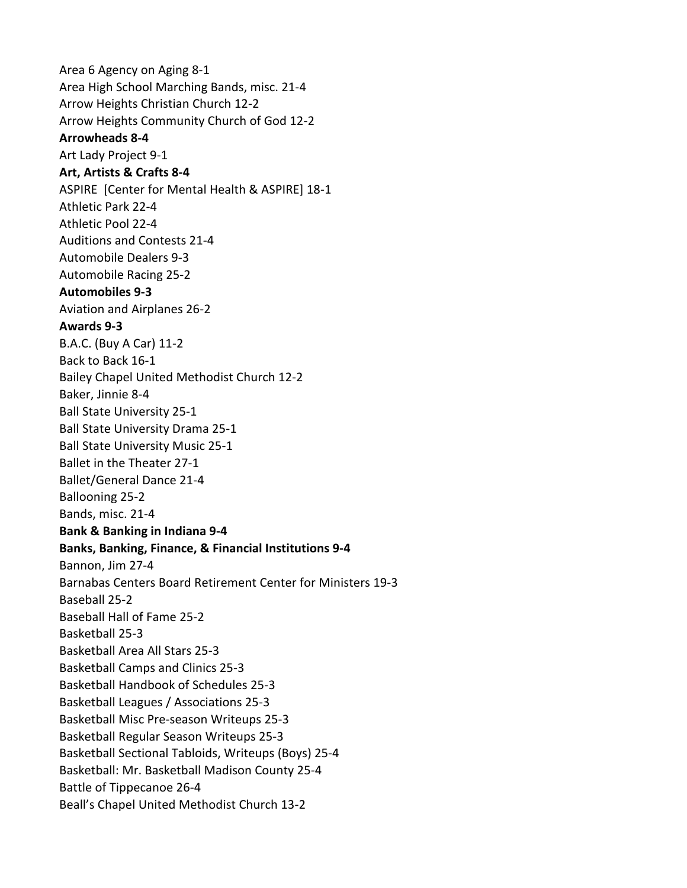Area 6 Agency on Aging 8-1 Area High School Marching Bands, misc. 21-4 Arrow Heights Christian Church 12-2 Arrow Heights Community Church of God 12-2 **Arrowheads 8-4** Art Lady Project 9-1 **Art, Artists & Crafts 8-4** ASPIRE [Center for Mental Health & ASPIRE] 18-1 Athletic Park 22-4 Athletic Pool 22-4 Auditions and Contests 21-4 Automobile Dealers 9-3 Automobile Racing 25-2 **Automobiles 9-3** Aviation and Airplanes 26-2 **Awards 9-3** B.A.C. (Buy A Car) 11-2 Back to Back 16-1 Bailey Chapel United Methodist Church 12-2 Baker, Jinnie 8-4 Ball State University 25-1 Ball State University Drama 25-1 Ball State University Music 25-1 Ballet in the Theater 27-1 Ballet/General Dance 21-4 Ballooning 25-2 Bands, misc. 21-4 **Bank & Banking in Indiana 9-4 Banks, Banking, Finance, & Financial Institutions 9-4** Bannon, Jim 27-4 Barnabas Centers Board Retirement Center for Ministers 19-3 Baseball 25-2 Baseball Hall of Fame 25-2 Basketball 25-3 Basketball Area All Stars 25-3 Basketball Camps and Clinics 25-3 Basketball Handbook of Schedules 25-3 Basketball Leagues / Associations 25-3 Basketball Misc Pre-season Writeups 25-3 Basketball Regular Season Writeups 25-3 Basketball Sectional Tabloids, Writeups (Boys) 25-4 Basketball: Mr. Basketball Madison County 25-4 Battle of Tippecanoe 26-4 Beall's Chapel United Methodist Church 13-2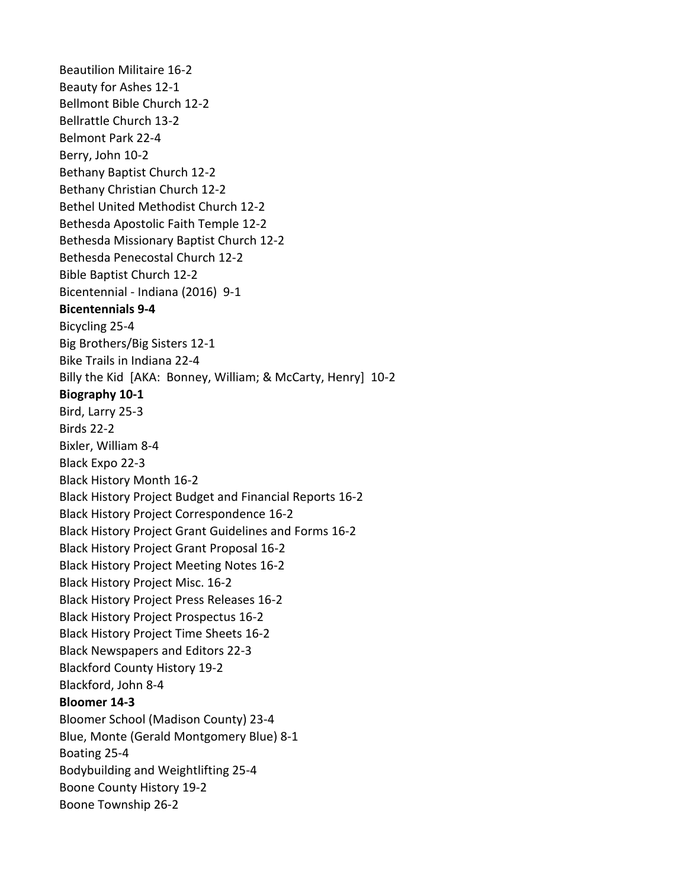Beautilion Militaire 16-2 Beauty for Ashes 12-1 Bellmont Bible Church 12-2 Bellrattle Church 13-2 Belmont Park 22-4 Berry, John 10-2 Bethany Baptist Church 12-2 Bethany Christian Church 12-2 Bethel United Methodist Church 12-2 Bethesda Apostolic Faith Temple 12-2 Bethesda Missionary Baptist Church 12-2 Bethesda Penecostal Church 12-2 Bible Baptist Church 12-2 Bicentennial - Indiana (2016) 9-1 **Bicentennials 9-4** Bicycling 25-4 Big Brothers/Big Sisters 12-1 Bike Trails in Indiana 22-4 Billy the Kid [AKA: Bonney, William; & McCarty, Henry] 10-2 **Biography 10-1** Bird, Larry 25-3 Birds 22-2 Bixler, William 8-4 Black Expo 22-3 Black History Month 16-2 Black History Project Budget and Financial Reports 16-2 Black History Project Correspondence 16-2 Black History Project Grant Guidelines and Forms 16-2 Black History Project Grant Proposal 16-2 Black History Project Meeting Notes 16-2 Black History Project Misc. 16-2 Black History Project Press Releases 16-2 Black History Project Prospectus 16-2 Black History Project Time Sheets 16-2 Black Newspapers and Editors 22-3 Blackford County History 19-2 Blackford, John 8-4 **Bloomer 14-3** Bloomer School (Madison County) 23-4 Blue, Monte (Gerald Montgomery Blue) 8-1 Boating 25-4 Bodybuilding and Weightlifting 25-4 Boone County History 19-2 Boone Township 26-2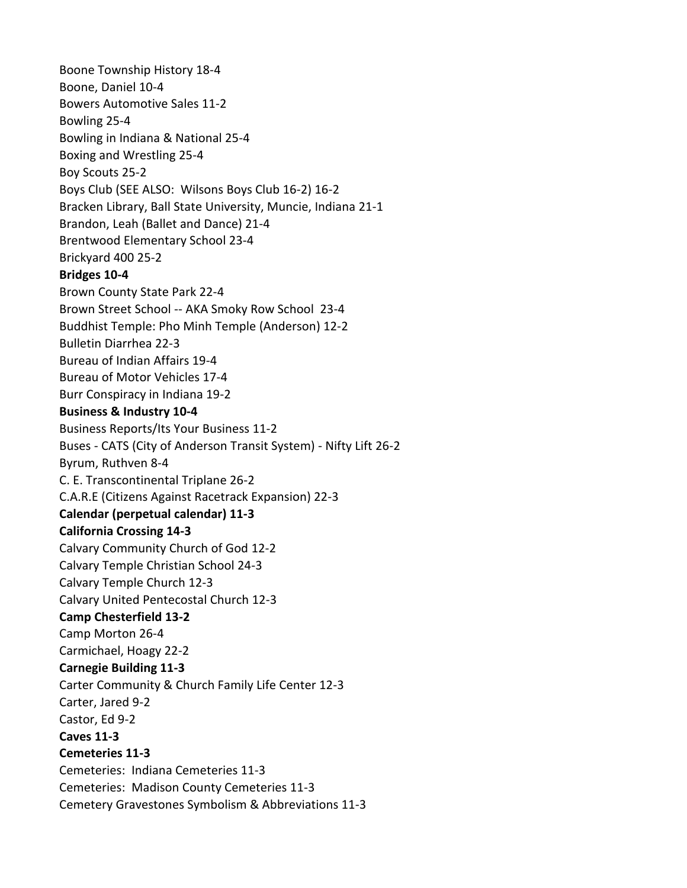Boone Township History 18-4 Boone, Daniel 10-4 Bowers Automotive Sales 11-2 Bowling 25-4 Bowling in Indiana & National 25-4 Boxing and Wrestling 25-4 Boy Scouts 25-2 Boys Club (SEE ALSO: Wilsons Boys Club 16-2) 16-2 Bracken Library, Ball State University, Muncie, Indiana 21-1 Brandon, Leah (Ballet and Dance) 21-4 Brentwood Elementary School 23-4 Brickyard 400 25-2 **Bridges 10-4** Brown County State Park 22-4 Brown Street School -- AKA Smoky Row School 23-4 Buddhist Temple: Pho Minh Temple (Anderson) 12-2 Bulletin Diarrhea 22-3 Bureau of Indian Affairs 19-4 Bureau of Motor Vehicles 17-4 Burr Conspiracy in Indiana 19-2 **Business & Industry 10-4** Business Reports/Its Your Business 11-2 Buses - CATS (City of Anderson Transit System) - Nifty Lift 26-2 Byrum, Ruthven 8-4 C. E. Transcontinental Triplane 26-2 C.A.R.E (Citizens Against Racetrack Expansion) 22-3 **Calendar (perpetual calendar) 11-3 California Crossing 14-3** Calvary Community Church of God 12-2 Calvary Temple Christian School 24-3 Calvary Temple Church 12-3 Calvary United Pentecostal Church 12-3 **Camp Chesterfield 13-2** Camp Morton 26-4 Carmichael, Hoagy 22-2 **Carnegie Building 11-3** Carter Community & Church Family Life Center 12-3 Carter, Jared 9-2 Castor, Ed 9-2 **Caves 11-3 Cemeteries 11-3** Cemeteries: Indiana Cemeteries 11-3 Cemeteries: Madison County Cemeteries 11-3 Cemetery Gravestones Symbolism & Abbreviations 11-3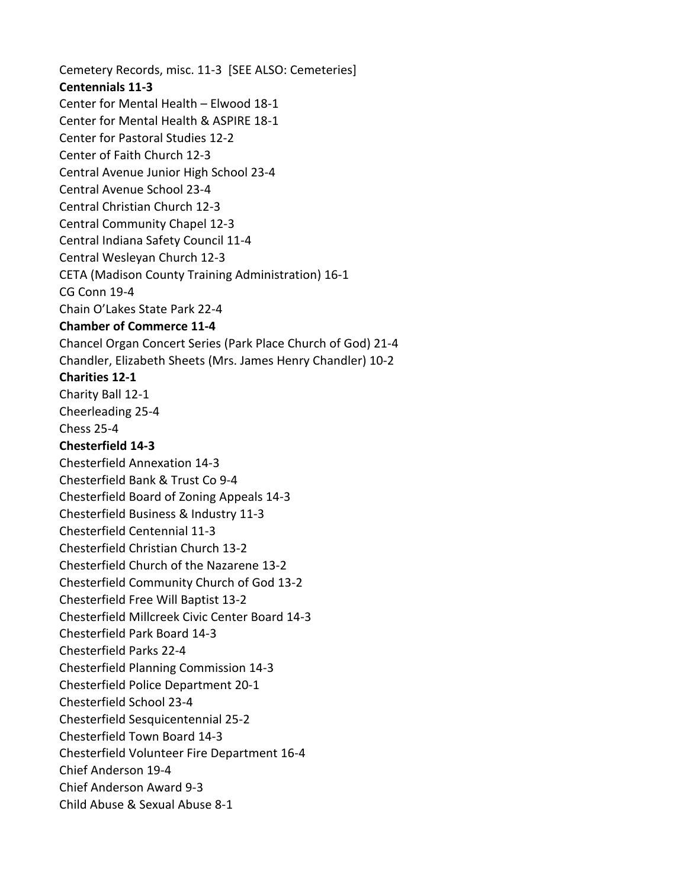Cemetery Records, misc. 11-3 [SEE ALSO: Cemeteries] **Centennials 11-3** Center for Mental Health – Elwood 18-1 Center for Mental Health & ASPIRE 18-1 Center for Pastoral Studies 12-2 Center of Faith Church 12-3 Central Avenue Junior High School 23-4 Central Avenue School 23-4 Central Christian Church 12-3 Central Community Chapel 12-3 Central Indiana Safety Council 11-4 Central Wesleyan Church 12-3 CETA (Madison County Training Administration) 16-1 CG Conn 19-4 Chain O'Lakes State Park 22-4 **Chamber of Commerce 11-4** Chancel Organ Concert Series (Park Place Church of God) 21-4 Chandler, Elizabeth Sheets (Mrs. James Henry Chandler) 10-2 **Charities 12-1** Charity Ball 12-1 Cheerleading 25-4 Chess 25-4 **Chesterfield 14-3** Chesterfield Annexation 14-3 Chesterfield Bank & Trust Co 9-4 Chesterfield Board of Zoning Appeals 14-3 Chesterfield Business & Industry 11-3 Chesterfield Centennial 11-3 Chesterfield Christian Church 13-2 Chesterfield Church of the Nazarene 13-2 Chesterfield Community Church of God 13-2 Chesterfield Free Will Baptist 13-2 Chesterfield Millcreek Civic Center Board 14-3 Chesterfield Park Board 14-3 Chesterfield Parks 22-4 Chesterfield Planning Commission 14-3 Chesterfield Police Department 20-1 Chesterfield School 23-4 Chesterfield Sesquicentennial 25-2 Chesterfield Town Board 14-3 Chesterfield Volunteer Fire Department 16-4 Chief Anderson 19-4 Chief Anderson Award 9-3 Child Abuse & Sexual Abuse 8-1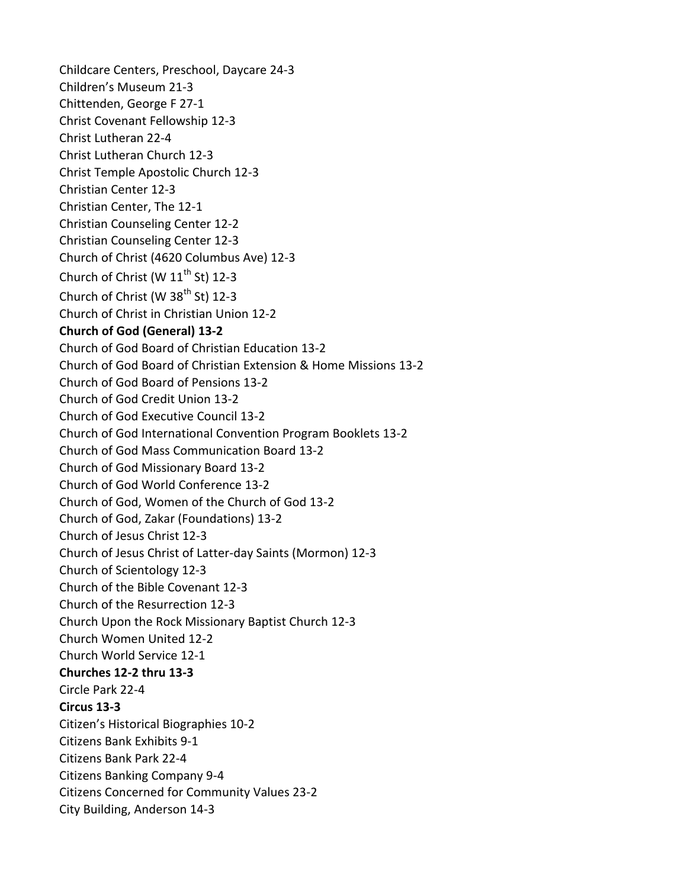Childcare Centers, Preschool, Daycare 24-3 Children's Museum 21-3 Chittenden, George F 27-1 Christ Covenant Fellowship 12-3 Christ Lutheran 22-4 Christ Lutheran Church 12-3 Christ Temple Apostolic Church 12-3 Christian Center 12-3 Christian Center, The 12-1 Christian Counseling Center 12-2 Christian Counseling Center 12-3 Church of Christ (4620 Columbus Ave) 12-3 Church of Christ (W  $11^{th}$  St) 12-3 Church of Christ (W  $38<sup>th</sup>$  St) 12-3 Church of Christ in Christian Union 12-2 **Church of God (General) 13-2** Church of God Board of Christian Education 13-2 Church of God Board of Christian Extension & Home Missions 13-2 Church of God Board of Pensions 13-2 Church of God Credit Union 13-2 Church of God Executive Council 13-2 Church of God International Convention Program Booklets 13-2 Church of God Mass Communication Board 13-2 Church of God Missionary Board 13-2 Church of God World Conference 13-2 Church of God, Women of the Church of God 13-2 Church of God, Zakar (Foundations) 13-2 Church of Jesus Christ 12-3 Church of Jesus Christ of Latter-day Saints (Mormon) 12-3 Church of Scientology 12-3 Church of the Bible Covenant 12-3 Church of the Resurrection 12-3 Church Upon the Rock Missionary Baptist Church 12-3 Church Women United 12-2 Church World Service 12-1 **Churches 12-2 thru 13-3** Circle Park 22-4 **Circus 13-3** Citizen's Historical Biographies 10-2 Citizens Bank Exhibits 9-1 Citizens Bank Park 22-4 Citizens Banking Company 9-4 Citizens Concerned for Community Values 23-2 City Building, Anderson 14-3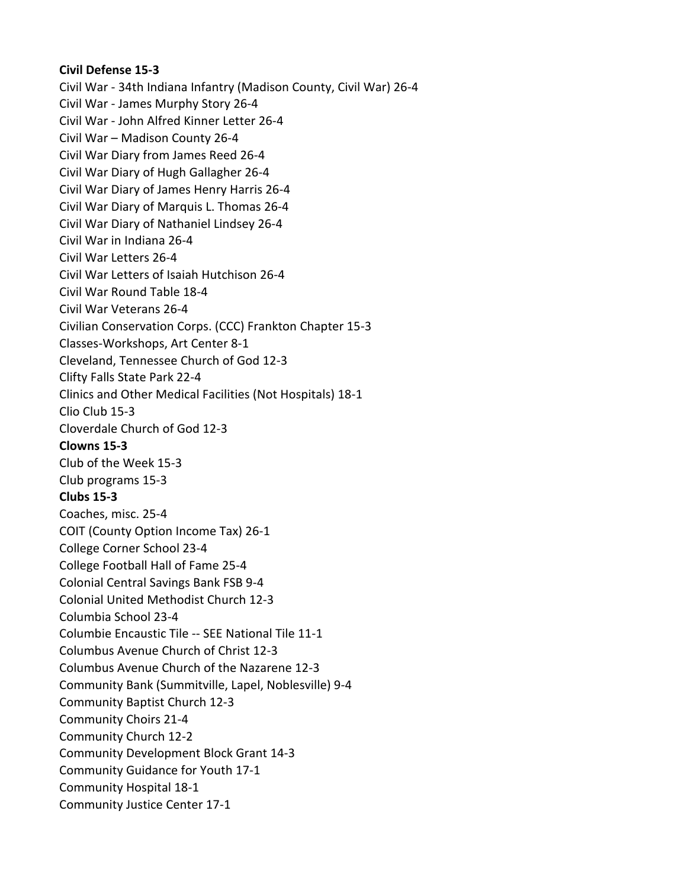## **Civil Defense 15-3**

Civil War - 34th Indiana Infantry (Madison County, Civil War) 26-4 Civil War - James Murphy Story 26-4 Civil War - John Alfred Kinner Letter 26-4 Civil War – Madison County 26-4 Civil War Diary from James Reed 26-4 Civil War Diary of Hugh Gallagher 26-4 Civil War Diary of James Henry Harris 26-4 Civil War Diary of Marquis L. Thomas 26-4 Civil War Diary of Nathaniel Lindsey 26-4 Civil War in Indiana 26-4 Civil War Letters 26-4 Civil War Letters of Isaiah Hutchison 26-4 Civil War Round Table 18-4 Civil War Veterans 26-4 Civilian Conservation Corps. (CCC) Frankton Chapter 15-3 Classes-Workshops, Art Center 8-1 Cleveland, Tennessee Church of God 12-3 Clifty Falls State Park 22-4 Clinics and Other Medical Facilities (Not Hospitals) 18-1 Clio Club 15-3 Cloverdale Church of God 12-3 **Clowns 15-3** Club of the Week 15-3 Club programs 15-3 **Clubs 15-3** Coaches, misc. 25-4 COIT (County Option Income Tax) 26-1 College Corner School 23-4 College Football Hall of Fame 25-4 Colonial Central Savings Bank FSB 9-4 Colonial United Methodist Church 12-3 Columbia School 23-4 Columbie Encaustic Tile -- SEE National Tile 11-1 Columbus Avenue Church of Christ 12-3 Columbus Avenue Church of the Nazarene 12-3 Community Bank (Summitville, Lapel, Noblesville) 9-4 Community Baptist Church 12-3 Community Choirs 21-4 Community Church 12-2 Community Development Block Grant 14-3 Community Guidance for Youth 17-1 Community Hospital 18-1 Community Justice Center 17-1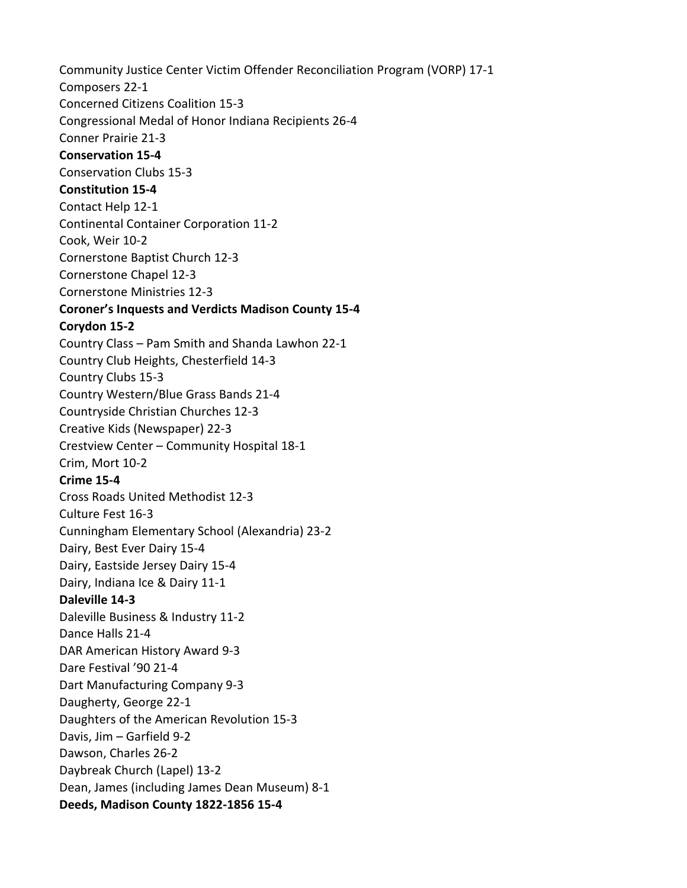Community Justice Center Victim Offender Reconciliation Program (VORP) 17-1 Composers 22-1 Concerned Citizens Coalition 15-3 Congressional Medal of Honor Indiana Recipients 26-4 Conner Prairie 21-3 **Conservation 15-4** Conservation Clubs 15-3 **Constitution 15-4** Contact Help 12-1 Continental Container Corporation 11-2 Cook, Weir 10-2 Cornerstone Baptist Church 12-3 Cornerstone Chapel 12-3 Cornerstone Ministries 12-3 **Coroner's Inquests and Verdicts Madison County 15-4 Corydon 15-2** Country Class – Pam Smith and Shanda Lawhon 22-1 Country Club Heights, Chesterfield 14-3 Country Clubs 15-3 Country Western/Blue Grass Bands 21-4 Countryside Christian Churches 12-3 Creative Kids (Newspaper) 22-3 Crestview Center – Community Hospital 18-1 Crim, Mort 10-2 **Crime 15-4** Cross Roads United Methodist 12-3 Culture Fest 16-3 Cunningham Elementary School (Alexandria) 23-2 Dairy, Best Ever Dairy 15-4 Dairy, Eastside Jersey Dairy 15-4 Dairy, Indiana Ice & Dairy 11-1 **Daleville 14-3** Daleville Business & Industry 11-2 Dance Halls 21-4 DAR American History Award 9-3 Dare Festival '90 21-4 Dart Manufacturing Company 9-3 Daugherty, George 22-1 Daughters of the American Revolution 15-3 Davis, Jim – Garfield 9-2 Dawson, Charles 26-2 Daybreak Church (Lapel) 13-2 Dean, James (including James Dean Museum) 8-1 **Deeds, Madison County 1822-1856 15-4**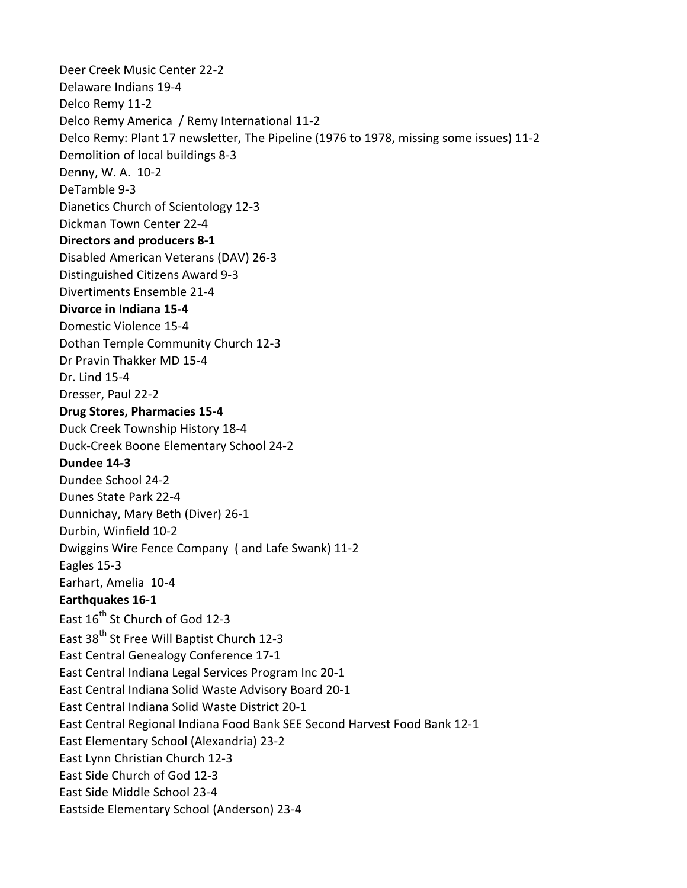Deer Creek Music Center 22-2 Delaware Indians 19-4 Delco Remy 11-2 Delco Remy America / Remy International 11-2 Delco Remy: Plant 17 newsletter, The Pipeline (1976 to 1978, missing some issues) 11-2 Demolition of local buildings 8-3 Denny, W. A. 10-2 DeTamble 9-3 Dianetics Church of Scientology 12-3 Dickman Town Center 22-4 **Directors and producers 8-1** Disabled American Veterans (DAV) 26-3 Distinguished Citizens Award 9-3 Divertiments Ensemble 21-4 **Divorce in Indiana 15-4** Domestic Violence 15-4 Dothan Temple Community Church 12-3 Dr Pravin Thakker MD 15-4 Dr. Lind 15-4 Dresser, Paul 22-2 **Drug Stores, Pharmacies 15-4** Duck Creek Township History 18-4 Duck-Creek Boone Elementary School 24-2 **Dundee 14-3** Dundee School 24-2 Dunes State Park 22-4 Dunnichay, Mary Beth (Diver) 26-1 Durbin, Winfield 10-2 Dwiggins Wire Fence Company ( and Lafe Swank) 11-2 Eagles 15-3 Earhart, Amelia 10-4 **Earthquakes 16-1** East 16<sup>th</sup> St Church of God 12-3 East 38<sup>th</sup> St Free Will Baptist Church 12-3 East Central Genealogy Conference 17-1 East Central Indiana Legal Services Program Inc 20-1 East Central Indiana Solid Waste Advisory Board 20-1 East Central Indiana Solid Waste District 20-1 East Central Regional Indiana Food Bank SEE Second Harvest Food Bank 12-1 East Elementary School (Alexandria) 23-2 East Lynn Christian Church 12-3 East Side Church of God 12-3 East Side Middle School 23-4 Eastside Elementary School (Anderson) 23-4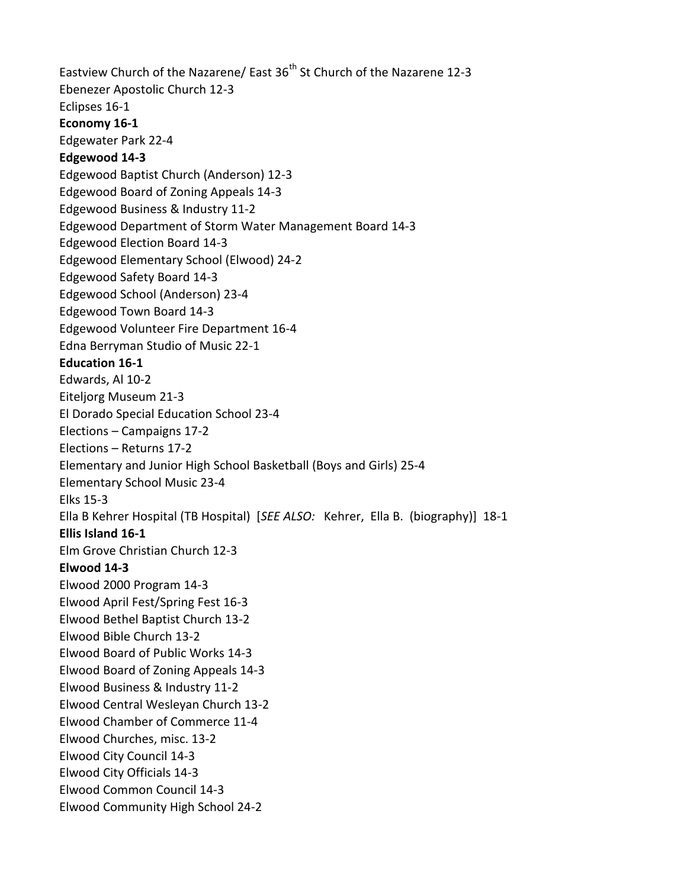Eastview Church of the Nazarene/ East 36<sup>th</sup> St Church of the Nazarene 12-3 Ebenezer Apostolic Church 12-3 Eclipses 16-1 **Economy 16-1** Edgewater Park 22-4 **Edgewood 14-3** Edgewood Baptist Church (Anderson) 12-3 Edgewood Board of Zoning Appeals 14-3 Edgewood Business & Industry 11-2 Edgewood Department of Storm Water Management Board 14-3 Edgewood Election Board 14-3 Edgewood Elementary School (Elwood) 24-2 Edgewood Safety Board 14-3 Edgewood School (Anderson) 23-4 Edgewood Town Board 14-3 Edgewood Volunteer Fire Department 16-4 Edna Berryman Studio of Music 22-1 **Education 16-1** Edwards, Al 10-2 Eiteljorg Museum 21-3 El Dorado Special Education School 23-4 Elections – Campaigns 17-2 Elections – Returns 17-2 Elementary and Junior High School Basketball (Boys and Girls) 25-4 Elementary School Music 23-4 Elks 15-3 Ella B Kehrer Hospital (TB Hospital) [*SEE ALSO:* Kehrer, Ella B. (biography)] 18-1 **Ellis Island 16-1** Elm Grove Christian Church 12-3 **Elwood 14-3** Elwood 2000 Program 14-3 Elwood April Fest/Spring Fest 16-3 Elwood Bethel Baptist Church 13-2 Elwood Bible Church 13-2 Elwood Board of Public Works 14-3 Elwood Board of Zoning Appeals 14-3 Elwood Business & Industry 11-2 Elwood Central Wesleyan Church 13-2 Elwood Chamber of Commerce 11-4 Elwood Churches, misc. 13-2 Elwood City Council 14-3 Elwood City Officials 14-3 Elwood Common Council 14-3 Elwood Community High School 24-2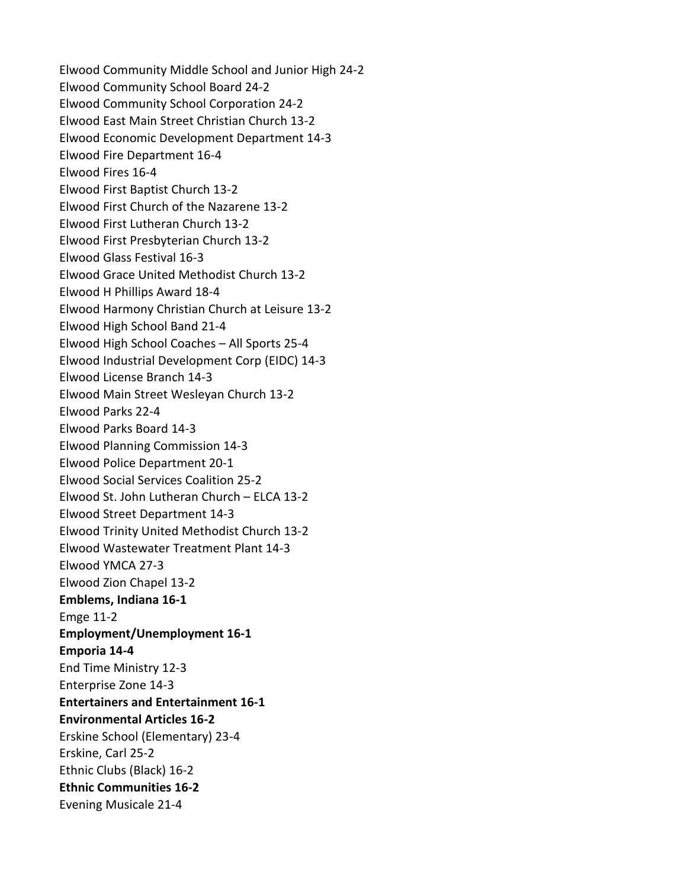Elwood Community Middle School and Junior High 24-2 Elwood Community School Board 24-2 Elwood Community School Corporation 24-2 Elwood East Main Street Christian Church 13-2 Elwood Economic Development Department 14-3 Elwood Fire Department 16-4 Elwood Fires 16-4 Elwood First Baptist Church 13-2 Elwood First Church of the Nazarene 13-2 Elwood First Lutheran Church 13-2 Elwood First Presbyterian Church 13-2 Elwood Glass Festival 16-3 Elwood Grace United Methodist Church 13-2 Elwood H Phillips Award 18-4 Elwood Harmony Christian Church at Leisure 13-2 Elwood High School Band 21-4 Elwood High School Coaches – All Sports 25-4 Elwood Industrial Development Corp (EIDC) 14-3 Elwood License Branch 14-3 Elwood Main Street Wesleyan Church 13-2 Elwood Parks 22-4 Elwood Parks Board 14-3 Elwood Planning Commission 14-3 Elwood Police Department 20-1 Elwood Social Services Coalition 25-2 Elwood St. John Lutheran Church – ELCA 13-2 Elwood Street Department 14-3 Elwood Trinity United Methodist Church 13-2 Elwood Wastewater Treatment Plant 14-3 Elwood YMCA 27-3 Elwood Zion Chapel 13-2 **Emblems, Indiana 16-1** Emge 11-2 **Employment/Unemployment 16-1 Emporia 14-4** End Time Ministry 12-3 Enterprise Zone 14-3 **Entertainers and Entertainment 16-1 Environmental Articles 16-2** Erskine School (Elementary) 23-4 Erskine, Carl 25-2 Ethnic Clubs (Black) 16-2 **Ethnic Communities 16-2** Evening Musicale 21-4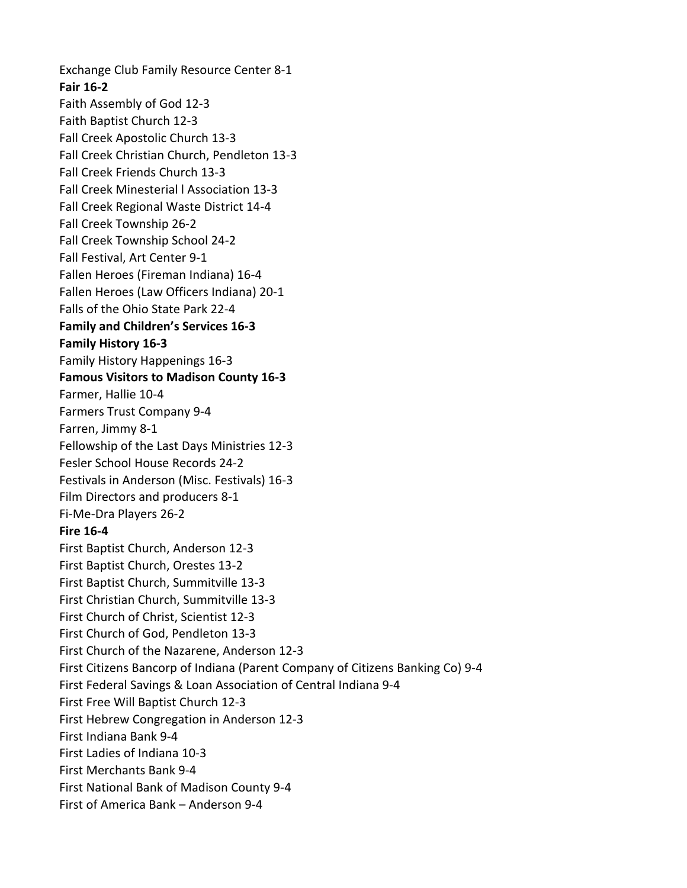Exchange Club Family Resource Center 8-1 **Fair 16-2** Faith Assembly of God 12-3 Faith Baptist Church 12-3 Fall Creek Apostolic Church 13-3 Fall Creek Christian Church, Pendleton 13-3 Fall Creek Friends Church 13-3 Fall Creek Minesterial l Association 13-3 Fall Creek Regional Waste District 14-4 Fall Creek Township 26-2 Fall Creek Township School 24-2 Fall Festival, Art Center 9-1 Fallen Heroes (Fireman Indiana) 16-4 Fallen Heroes (Law Officers Indiana) 20-1 Falls of the Ohio State Park 22-4 **Family and Children's Services 16-3 Family History 16-3** Family History Happenings 16-3 **Famous Visitors to Madison County 16-3** Farmer, Hallie 10-4 Farmers Trust Company 9-4 Farren, Jimmy 8-1 Fellowship of the Last Days Ministries 12-3 Fesler School House Records 24-2 Festivals in Anderson (Misc. Festivals) 16-3 Film Directors and producers 8-1 Fi-Me-Dra Players 26-2 **Fire 16-4** First Baptist Church, Anderson 12-3 First Baptist Church, Orestes 13-2 First Baptist Church, Summitville 13-3 First Christian Church, Summitville 13-3 First Church of Christ, Scientist 12-3 First Church of God, Pendleton 13-3 First Church of the Nazarene, Anderson 12-3 First Citizens Bancorp of Indiana (Parent Company of Citizens Banking Co) 9-4 First Federal Savings & Loan Association of Central Indiana 9-4 First Free Will Baptist Church 12-3 First Hebrew Congregation in Anderson 12-3 First Indiana Bank 9-4 First Ladies of Indiana 10-3 First Merchants Bank 9-4 First National Bank of Madison County 9-4 First of America Bank – Anderson 9-4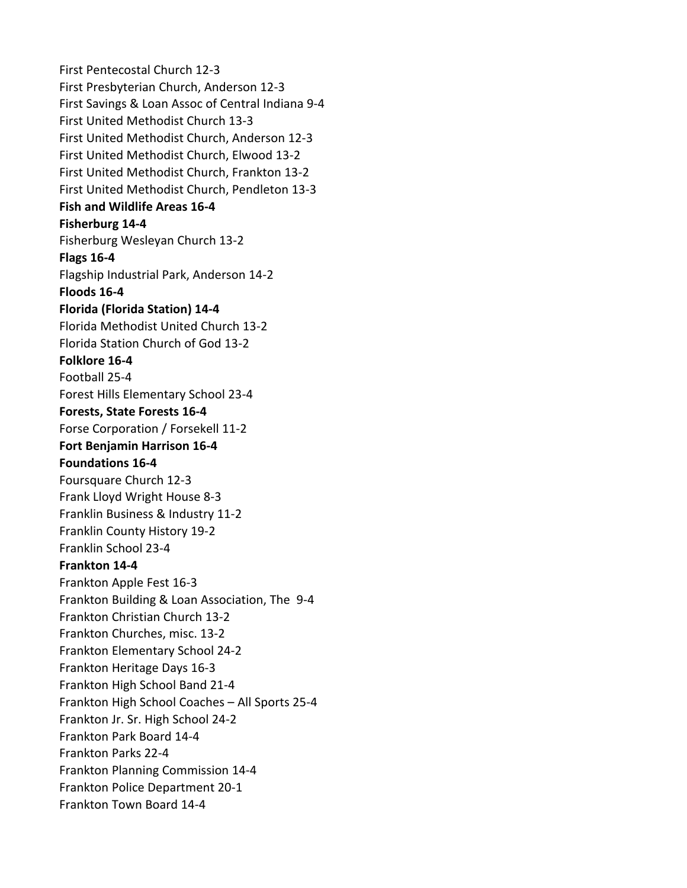First Pentecostal Church 12-3 First Presbyterian Church, Anderson 12-3 First Savings & Loan Assoc of Central Indiana 9-4 First United Methodist Church 13-3 First United Methodist Church, Anderson 12-3 First United Methodist Church, Elwood 13-2 First United Methodist Church, Frankton 13-2 First United Methodist Church, Pendleton 13-3 **Fish and Wildlife Areas 16-4 Fisherburg 14-4** Fisherburg Wesleyan Church 13-2 **Flags 16-4** Flagship Industrial Park, Anderson 14-2 **Floods 16-4 Florida (Florida Station) 14-4** Florida Methodist United Church 13-2 Florida Station Church of God 13-2 **Folklore 16-4** Football 25-4 Forest Hills Elementary School 23-4 **Forests, State Forests 16-4** Forse Corporation / Forsekell 11-2 **Fort Benjamin Harrison 16-4 Foundations 16-4** Foursquare Church 12-3 Frank Lloyd Wright House 8-3 Franklin Business & Industry 11-2 Franklin County History 19-2 Franklin School 23-4 **Frankton 14-4** Frankton Apple Fest 16-3 Frankton Building & Loan Association, The 9-4 Frankton Christian Church 13-2 Frankton Churches, misc. 13-2 Frankton Elementary School 24-2 Frankton Heritage Days 16-3 Frankton High School Band 21-4 Frankton High School Coaches – All Sports 25-4 Frankton Jr. Sr. High School 24-2 Frankton Park Board 14-4 Frankton Parks 22-4 Frankton Planning Commission 14-4 Frankton Police Department 20-1 Frankton Town Board 14-4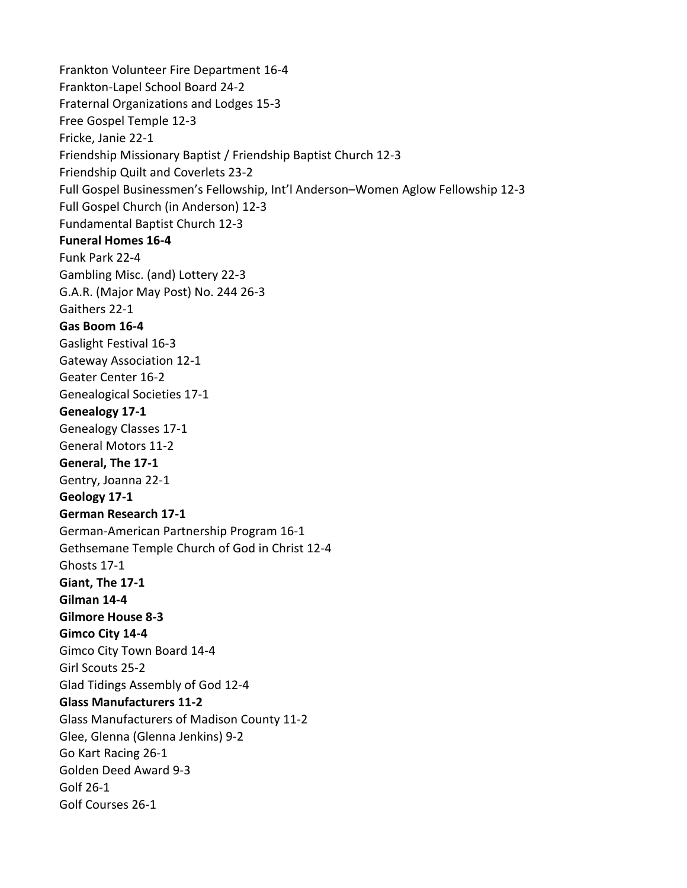Frankton Volunteer Fire Department 16-4 Frankton-Lapel School Board 24-2 Fraternal Organizations and Lodges 15-3 Free Gospel Temple 12-3 Fricke, Janie 22-1 Friendship Missionary Baptist / Friendship Baptist Church 12-3 Friendship Quilt and Coverlets 23-2 Full Gospel Businessmen's Fellowship, Int'l Anderson–Women Aglow Fellowship 12-3 Full Gospel Church (in Anderson) 12-3 Fundamental Baptist Church 12-3 **Funeral Homes 16-4** Funk Park 22-4 Gambling Misc. (and) Lottery 22-3 G.A.R. (Major May Post) No. 244 26-3 Gaithers 22-1 **Gas Boom 16-4** Gaslight Festival 16-3 Gateway Association 12-1 Geater Center 16-2 Genealogical Societies 17-1 **Genealogy 17-1** Genealogy Classes 17-1 General Motors 11-2 **General, The 17-1** Gentry, Joanna 22-1 **Geology 17-1 German Research 17-1** German-American Partnership Program 16-1 Gethsemane Temple Church of God in Christ 12-4 Ghosts 17-1 **Giant, The 17-1 Gilman 14-4 Gilmore House 8-3 Gimco City 14-4** Gimco City Town Board 14-4 Girl Scouts 25-2 Glad Tidings Assembly of God 12-4 **Glass Manufacturers 11-2** Glass Manufacturers of Madison County 11-2 Glee, Glenna (Glenna Jenkins) 9-2 Go Kart Racing 26-1 Golden Deed Award 9-3 Golf 26-1 Golf Courses 26-1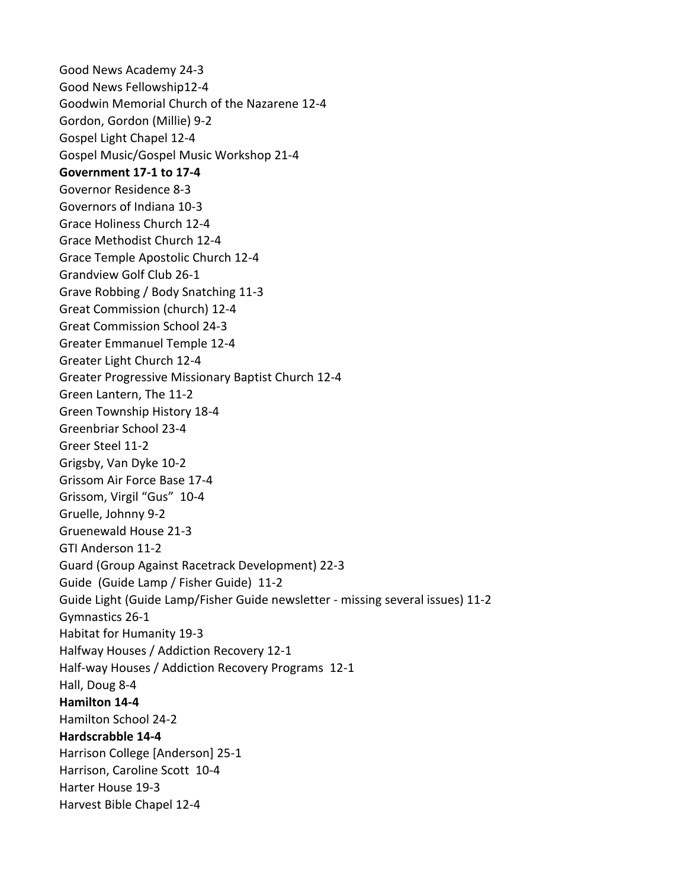Good News Academy 24-3 Good News Fellowship12-4 Goodwin Memorial Church of the Nazarene 12-4 Gordon, Gordon (Millie) 9-2 Gospel Light Chapel 12-4 Gospel Music/Gospel Music Workshop 21-4 **Government 17-1 to 17-4** Governor Residence 8-3 Governors of Indiana 10-3 Grace Holiness Church 12-4 Grace Methodist Church 12-4 Grace Temple Apostolic Church 12-4 Grandview Golf Club 26-1 Grave Robbing / Body Snatching 11-3 Great Commission (church) 12-4 Great Commission School 24-3 Greater Emmanuel Temple 12-4 Greater Light Church 12-4 Greater Progressive Missionary Baptist Church 12-4 Green Lantern, The 11-2 Green Township History 18-4 Greenbriar School 23-4 Greer Steel 11-2 Grigsby, Van Dyke 10-2 Grissom Air Force Base 17-4 Grissom, Virgil "Gus" 10-4 Gruelle, Johnny 9-2 Gruenewald House 21-3 GTI Anderson 11-2 Guard (Group Against Racetrack Development) 22-3 Guide (Guide Lamp / Fisher Guide) 11-2 Guide Light (Guide Lamp/Fisher Guide newsletter - missing several issues) 11-2 Gymnastics 26-1 Habitat for Humanity 19-3 Halfway Houses / Addiction Recovery 12-1 Half-way Houses / Addiction Recovery Programs 12-1 Hall, Doug 8-4 **Hamilton 14-4** Hamilton School 24-2 **Hardscrabble 14-4** Harrison College [Anderson] 25-1 Harrison, Caroline Scott 10-4 Harter House 19-3 Harvest Bible Chapel 12-4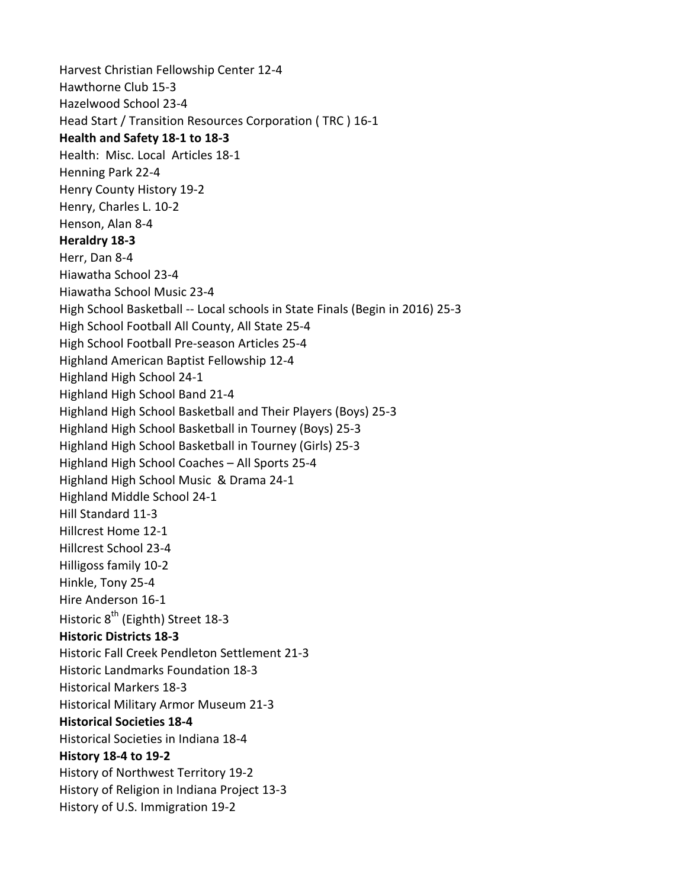Harvest Christian Fellowship Center 12-4 Hawthorne Club 15-3 Hazelwood School 23-4 Head Start / Transition Resources Corporation ( TRC ) 16-1 **Health and Safety 18-1 to 18-3** Health: Misc. Local Articles 18-1 Henning Park 22-4 Henry County History 19-2 Henry, Charles L. 10-2 Henson, Alan 8-4 **Heraldry 18-3** Herr, Dan 8-4 Hiawatha School 23-4 Hiawatha School Music 23-4 High School Basketball -- Local schools in State Finals (Begin in 2016) 25-3 High School Football All County, All State 25-4 High School Football Pre-season Articles 25-4 Highland American Baptist Fellowship 12-4 Highland High School 24-1 Highland High School Band 21-4 Highland High School Basketball and Their Players (Boys) 25-3 Highland High School Basketball in Tourney (Boys) 25-3 Highland High School Basketball in Tourney (Girls) 25-3 Highland High School Coaches – All Sports 25-4 Highland High School Music & Drama 24-1 Highland Middle School 24-1 Hill Standard 11-3 Hillcrest Home 12-1 Hillcrest School 23-4 Hilligoss family 10-2 Hinkle, Tony 25-4 Hire Anderson 16-1 Historic 8<sup>th</sup> (Eighth) Street 18-3 **Historic Districts 18-3** Historic Fall Creek Pendleton Settlement 21-3 Historic Landmarks Foundation 18-3 Historical Markers 18-3 Historical Military Armor Museum 21-3 **Historical Societies 18-4** Historical Societies in Indiana 18-4 **History 18-4 to 19-2** History of Northwest Territory 19-2 History of Religion in Indiana Project 13-3 History of U.S. Immigration 19-2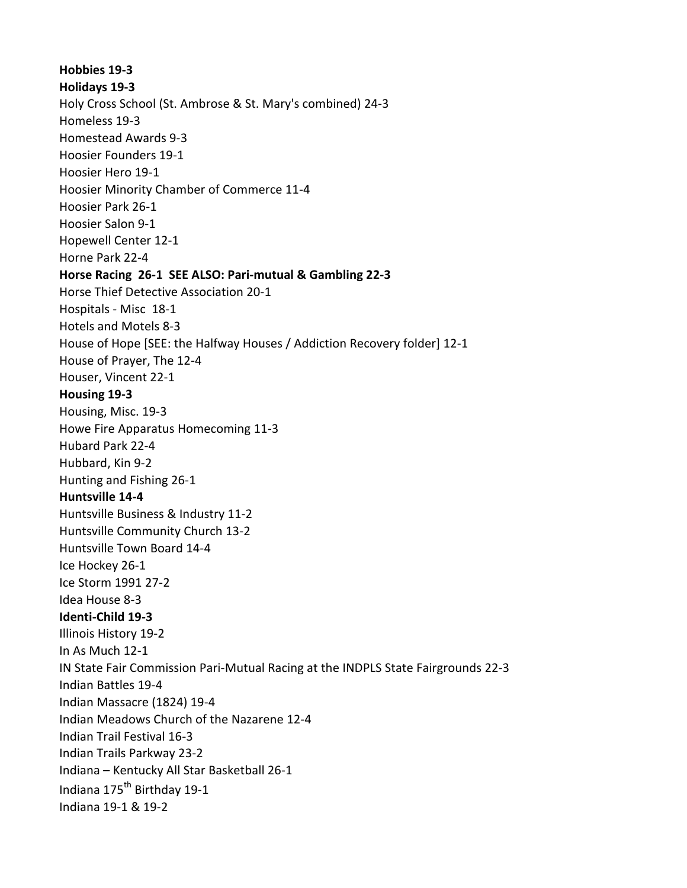**Hobbies 19-3 Holidays 19-3** Holy Cross School (St. Ambrose & St. Mary's combined) 24-3 Homeless 19-3 Homestead Awards 9-3 Hoosier Founders 19-1 Hoosier Hero 19-1 Hoosier Minority Chamber of Commerce 11-4 Hoosier Park 26-1 Hoosier Salon 9-1 Hopewell Center 12-1 Horne Park 22-4 **Horse Racing 26-1 SEE ALSO: Pari-mutual & Gambling 22-3** Horse Thief Detective Association 20-1 Hospitals - Misc 18-1 Hotels and Motels 8-3 House of Hope [SEE: the Halfway Houses / Addiction Recovery folder] 12-1 House of Prayer, The 12-4 Houser, Vincent 22-1 **Housing 19-3** Housing, Misc. 19-3 Howe Fire Apparatus Homecoming 11-3 Hubard Park 22-4 Hubbard, Kin 9-2 Hunting and Fishing 26-1 **Huntsville 14-4** Huntsville Business & Industry 11-2 Huntsville Community Church 13-2 Huntsville Town Board 14-4 Ice Hockey 26-1 Ice Storm 1991 27-2 Idea House 8-3 **Identi-Child 19-3** Illinois History 19-2 In As Much 12-1 IN State Fair Commission Pari-Mutual Racing at the INDPLS State Fairgrounds 22-3 Indian Battles 19-4 Indian Massacre (1824) 19-4 Indian Meadows Church of the Nazarene 12-4 Indian Trail Festival 16-3 Indian Trails Parkway 23-2 Indiana – Kentucky All Star Basketball 26-1 Indiana 175<sup>th</sup> Birthday 19-1 Indiana 19-1 & 19-2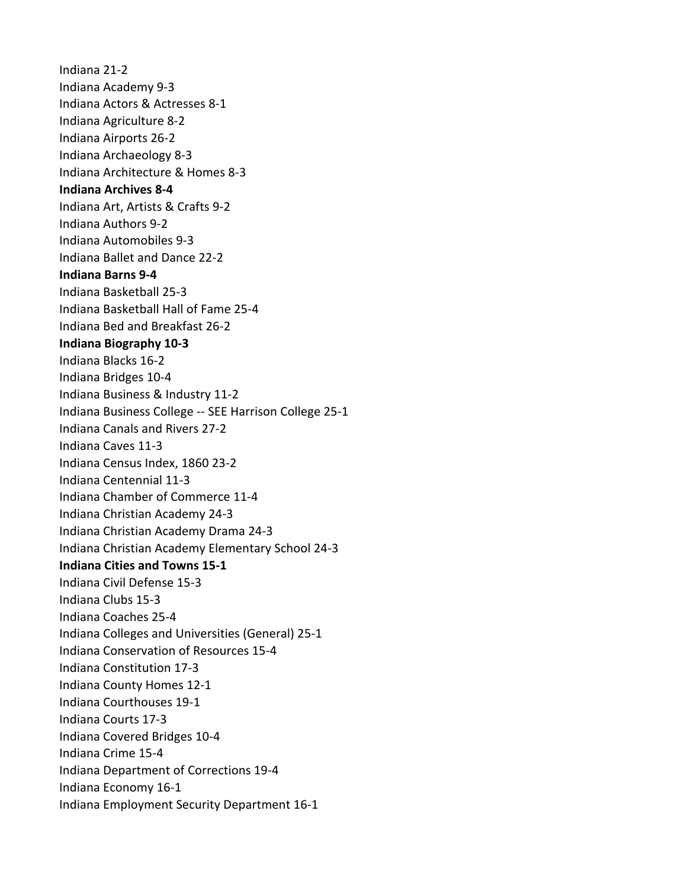Indiana 21-2 Indiana Academy 9-3 Indiana Actors & Actresses 8-1 Indiana Agriculture 8-2 Indiana Airports 26-2 Indiana Archaeology 8-3 Indiana Architecture & Homes 8-3 **Indiana Archives 8-4** Indiana Art, Artists & Crafts 9-2 Indiana Authors 9-2 Indiana Automobiles 9-3 Indiana Ballet and Dance 22-2 **Indiana Barns 9-4** Indiana Basketball 25-3 Indiana Basketball Hall of Fame 25-4 Indiana Bed and Breakfast 26-2 **Indiana Biography 10-3** Indiana Blacks 16-2 Indiana Bridges 10-4 Indiana Business & Industry 11-2 Indiana Business College -- SEE Harrison College 25-1 Indiana Canals and Rivers 27-2 Indiana Caves 11-3 Indiana Census Index, 1860 23-2 Indiana Centennial 11-3 Indiana Chamber of Commerce 11-4 Indiana Christian Academy 24-3 Indiana Christian Academy Drama 24-3 Indiana Christian Academy Elementary School 24-3 **Indiana Cities and Towns 15-1** Indiana Civil Defense 15-3 Indiana Clubs 15-3 Indiana Coaches 25-4 Indiana Colleges and Universities (General) 25-1 Indiana Conservation of Resources 15-4 Indiana Constitution 17-3 Indiana County Homes 12-1 Indiana Courthouses 19-1 Indiana Courts 17-3 Indiana Covered Bridges 10-4 Indiana Crime 15-4 Indiana Department of Corrections 19-4 Indiana Economy 16-1 Indiana Employment Security Department 16-1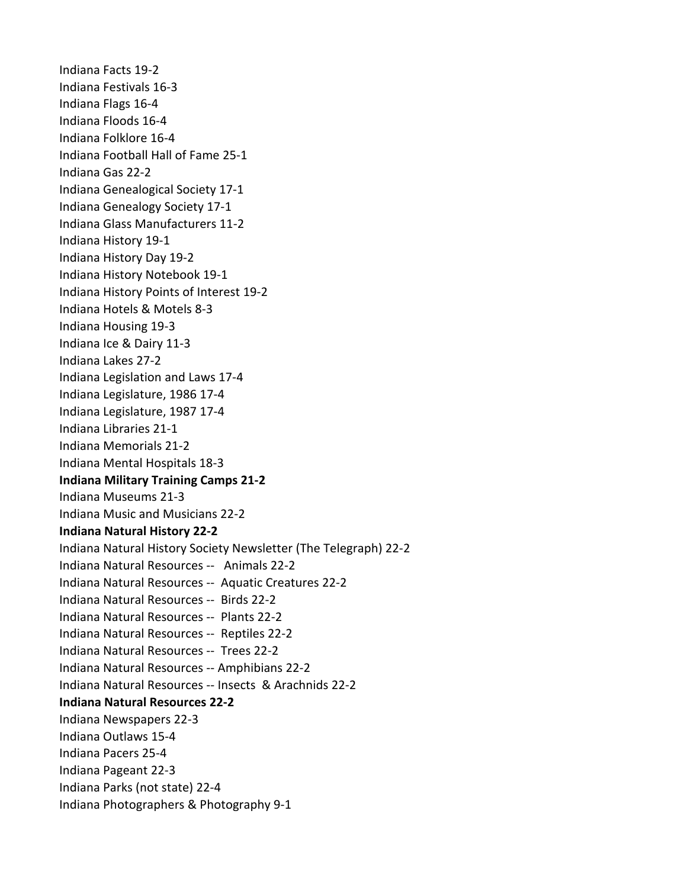Indiana Facts 19-2 Indiana Festivals 16-3 Indiana Flags 16-4 Indiana Floods 16-4 Indiana Folklore 16-4 Indiana Football Hall of Fame 25-1 Indiana Gas 22-2 Indiana Genealogical Society 17-1 Indiana Genealogy Society 17-1 Indiana Glass Manufacturers 11-2 Indiana History 19-1 Indiana History Day 19-2 Indiana History Notebook 19-1 Indiana History Points of Interest 19-2 Indiana Hotels & Motels 8-3 Indiana Housing 19-3 Indiana Ice & Dairy 11-3 Indiana Lakes 27-2 Indiana Legislation and Laws 17-4 Indiana Legislature, 1986 17-4 Indiana Legislature, 1987 17-4 Indiana Libraries 21-1 Indiana Memorials 21-2 Indiana Mental Hospitals 18-3 **Indiana Military Training Camps 21-2** Indiana Museums 21-3 Indiana Music and Musicians 22-2 **Indiana Natural History 22-2** Indiana Natural History Society Newsletter (The Telegraph) 22-2 Indiana Natural Resources -- Animals 22-2 Indiana Natural Resources -- Aquatic Creatures 22-2 Indiana Natural Resources -- Birds 22-2 Indiana Natural Resources -- Plants 22-2 Indiana Natural Resources -- Reptiles 22-2 Indiana Natural Resources -- Trees 22-2 Indiana Natural Resources -- Amphibians 22-2 Indiana Natural Resources -- Insects & Arachnids 22-2 **Indiana Natural Resources 22-2** Indiana Newspapers 22-3 Indiana Outlaws 15-4 Indiana Pacers 25-4 Indiana Pageant 22-3 Indiana Parks (not state) 22-4 Indiana Photographers & Photography 9-1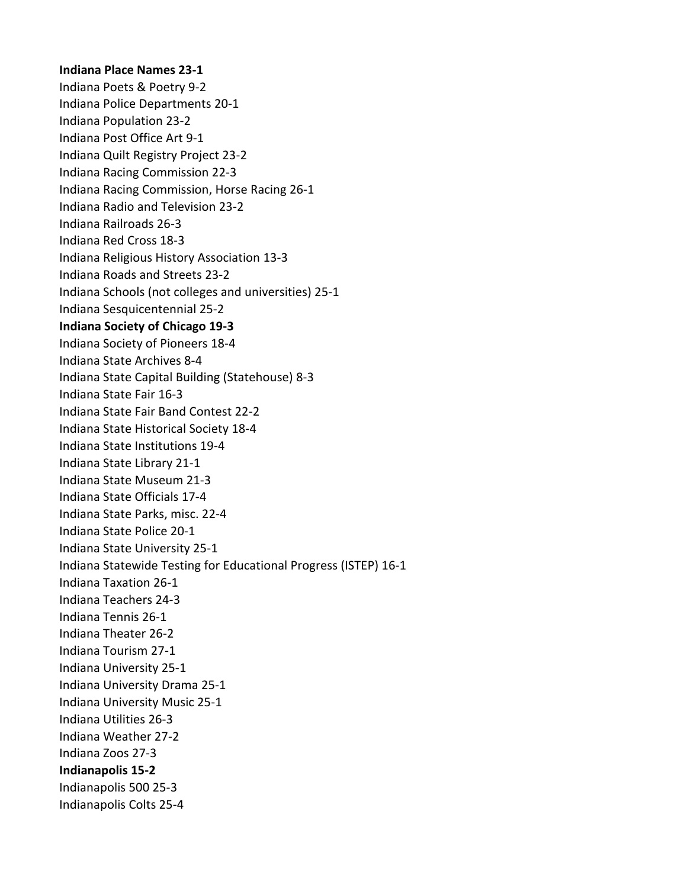## **Indiana Place Names 23-1**

Indiana Poets & Poetry 9-2 Indiana Police Departments 20-1 Indiana Population 23-2 Indiana Post Office Art 9-1 Indiana Quilt Registry Project 23-2 Indiana Racing Commission 22-3 Indiana Racing Commission, Horse Racing 26-1 Indiana Radio and Television 23-2 Indiana Railroads 26-3 Indiana Red Cross 18-3 Indiana Religious History Association 13-3 Indiana Roads and Streets 23-2 Indiana Schools (not colleges and universities) 25-1 Indiana Sesquicentennial 25-2 **Indiana Society of Chicago 19-3** Indiana Society of Pioneers 18-4 Indiana State Archives 8-4 Indiana State Capital Building (Statehouse) 8-3 Indiana State Fair 16-3 Indiana State Fair Band Contest 22-2 Indiana State Historical Society 18-4 Indiana State Institutions 19-4 Indiana State Library 21-1 Indiana State Museum 21-3 Indiana State Officials 17-4 Indiana State Parks, misc. 22-4 Indiana State Police 20-1 Indiana State University 25-1 Indiana Statewide Testing for Educational Progress (ISTEP) 16-1 Indiana Taxation 26-1 Indiana Teachers 24-3 Indiana Tennis 26-1 Indiana Theater 26-2 Indiana Tourism 27-1 Indiana University 25-1 Indiana University Drama 25-1 Indiana University Music 25-1 Indiana Utilities 26-3 Indiana Weather 27-2 Indiana Zoos 27-3 **Indianapolis 15-2** Indianapolis 500 25-3 Indianapolis Colts 25-4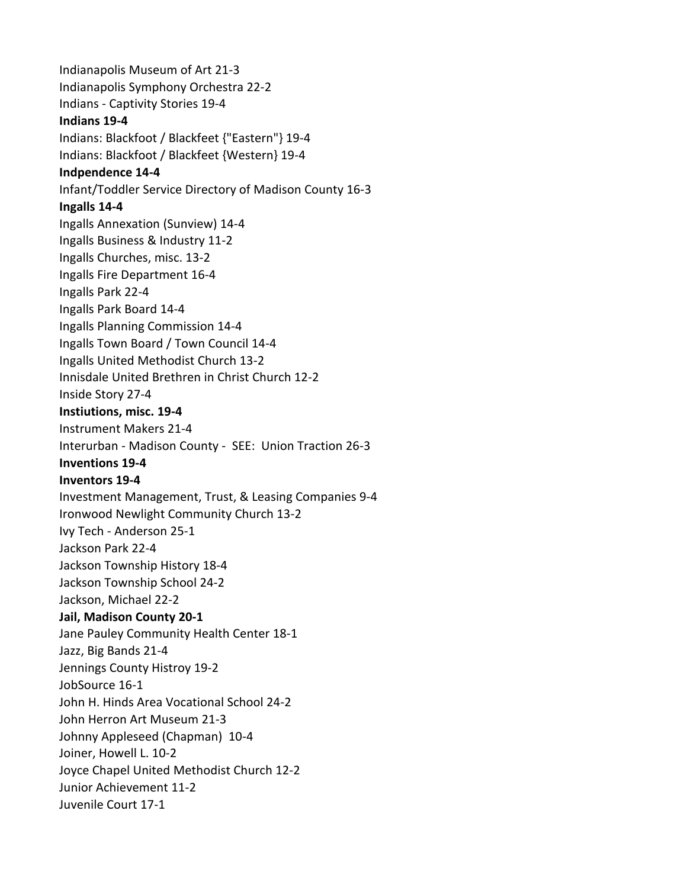Indianapolis Museum of Art 21-3 Indianapolis Symphony Orchestra 22-2 Indians - Captivity Stories 19-4 **Indians 19-4** Indians: Blackfoot / Blackfeet {"Eastern"} 19-4 Indians: Blackfoot / Blackfeet {Western} 19-4 **Indpendence 14-4** Infant/Toddler Service Directory of Madison County 16-3 **Ingalls 14-4** Ingalls Annexation (Sunview) 14-4 Ingalls Business & Industry 11-2 Ingalls Churches, misc. 13-2 Ingalls Fire Department 16-4 Ingalls Park 22-4 Ingalls Park Board 14-4 Ingalls Planning Commission 14-4 Ingalls Town Board / Town Council 14-4 Ingalls United Methodist Church 13-2 Innisdale United Brethren in Christ Church 12-2 Inside Story 27-4 **Instiutions, misc. 19-4** Instrument Makers 21-4 Interurban - Madison County - SEE: Union Traction 26-3 **Inventions 19-4 Inventors 19-4** Investment Management, Trust, & Leasing Companies 9-4 Ironwood Newlight Community Church 13-2 Ivy Tech - Anderson 25-1 Jackson Park 22-4 Jackson Township History 18-4 Jackson Township School 24-2 Jackson, Michael 22-2 **Jail, Madison County 20-1** Jane Pauley Community Health Center 18-1 Jazz, Big Bands 21-4 Jennings County Histroy 19-2 JobSource 16-1 John H. Hinds Area Vocational School 24-2 John Herron Art Museum 21-3 Johnny Appleseed (Chapman) 10-4 Joiner, Howell L. 10-2 Joyce Chapel United Methodist Church 12-2 Junior Achievement 11-2 Juvenile Court 17-1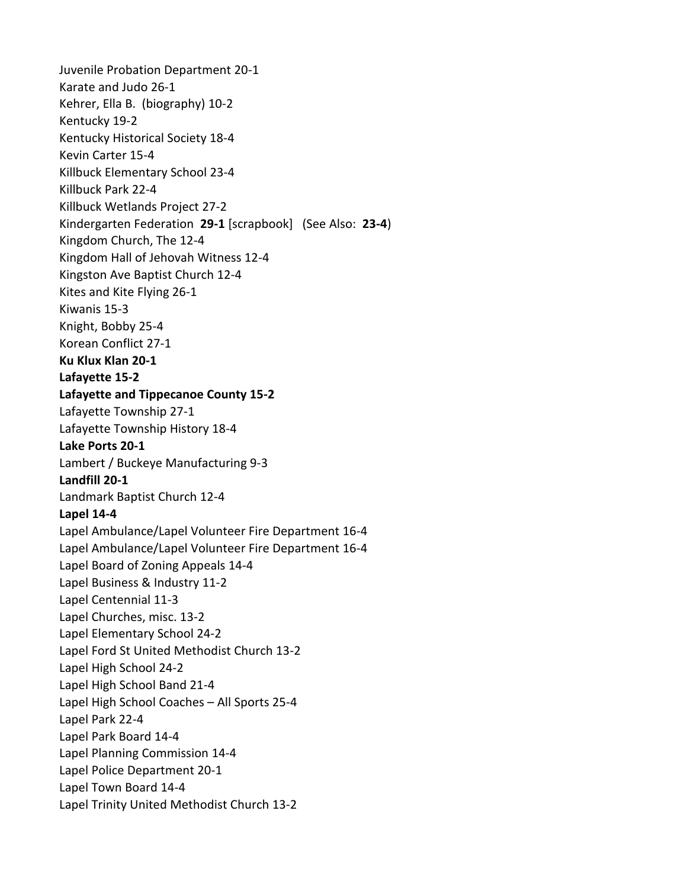Juvenile Probation Department 20-1 Karate and Judo 26-1 Kehrer, Ella B. (biography) 10-2 Kentucky 19-2 Kentucky Historical Society 18-4 Kevin Carter 15-4 Killbuck Elementary School 23-4 Killbuck Park 22-4 Killbuck Wetlands Project 27-2 Kindergarten Federation **29-1** [scrapbook] (See Also: **23-4**) Kingdom Church, The 12-4 Kingdom Hall of Jehovah Witness 12-4 Kingston Ave Baptist Church 12-4 Kites and Kite Flying 26-1 Kiwanis 15-3 Knight, Bobby 25-4 Korean Conflict 27-1 **Ku Klux Klan 20-1 Lafayette 15-2 Lafayette and Tippecanoe County 15-2** Lafayette Township 27-1 Lafayette Township History 18-4 **Lake Ports 20-1** Lambert / Buckeye Manufacturing 9-3 **Landfill 20-1** Landmark Baptist Church 12-4 **Lapel 14-4** Lapel Ambulance/Lapel Volunteer Fire Department 16-4 Lapel Ambulance/Lapel Volunteer Fire Department 16-4 Lapel Board of Zoning Appeals 14-4 Lapel Business & Industry 11-2 Lapel Centennial 11-3 Lapel Churches, misc. 13-2 Lapel Elementary School 24-2 Lapel Ford St United Methodist Church 13-2 Lapel High School 24-2 Lapel High School Band 21-4 Lapel High School Coaches – All Sports 25-4 Lapel Park 22-4 Lapel Park Board 14-4 Lapel Planning Commission 14-4 Lapel Police Department 20-1 Lapel Town Board 14-4 Lapel Trinity United Methodist Church 13-2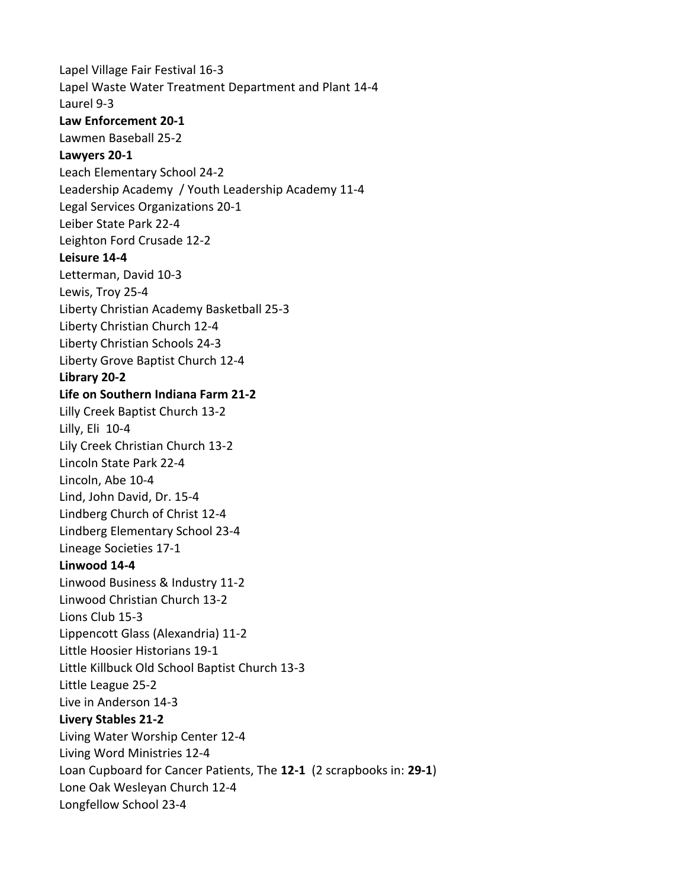Lapel Village Fair Festival 16-3 Lapel Waste Water Treatment Department and Plant 14-4 Laurel 9-3 **Law Enforcement 20-1** Lawmen Baseball 25-2 **Lawyers 20-1** Leach Elementary School 24-2 Leadership Academy / Youth Leadership Academy 11-4 Legal Services Organizations 20-1 Leiber State Park 22-4 Leighton Ford Crusade 12-2 **Leisure 14-4** Letterman, David 10-3 Lewis, Troy 25-4 Liberty Christian Academy Basketball 25-3 Liberty Christian Church 12-4 Liberty Christian Schools 24-3 Liberty Grove Baptist Church 12-4 **Library 20-2 Life on Southern Indiana Farm 21-2** Lilly Creek Baptist Church 13-2 Lilly, Eli 10-4 Lily Creek Christian Church 13-2 Lincoln State Park 22-4 Lincoln, Abe 10-4 Lind, John David, Dr. 15-4 Lindberg Church of Christ 12-4 Lindberg Elementary School 23-4 Lineage Societies 17-1 **Linwood 14-4** Linwood Business & Industry 11-2 Linwood Christian Church 13-2 Lions Club 15-3 Lippencott Glass (Alexandria) 11-2 Little Hoosier Historians 19-1 Little Killbuck Old School Baptist Church 13-3 Little League 25-2 Live in Anderson 14-3 **Livery Stables 21-2** Living Water Worship Center 12-4 Living Word Ministries 12-4 Loan Cupboard for Cancer Patients, The **12-1** (2 scrapbooks in: **29-1**) Lone Oak Wesleyan Church 12-4 Longfellow School 23-4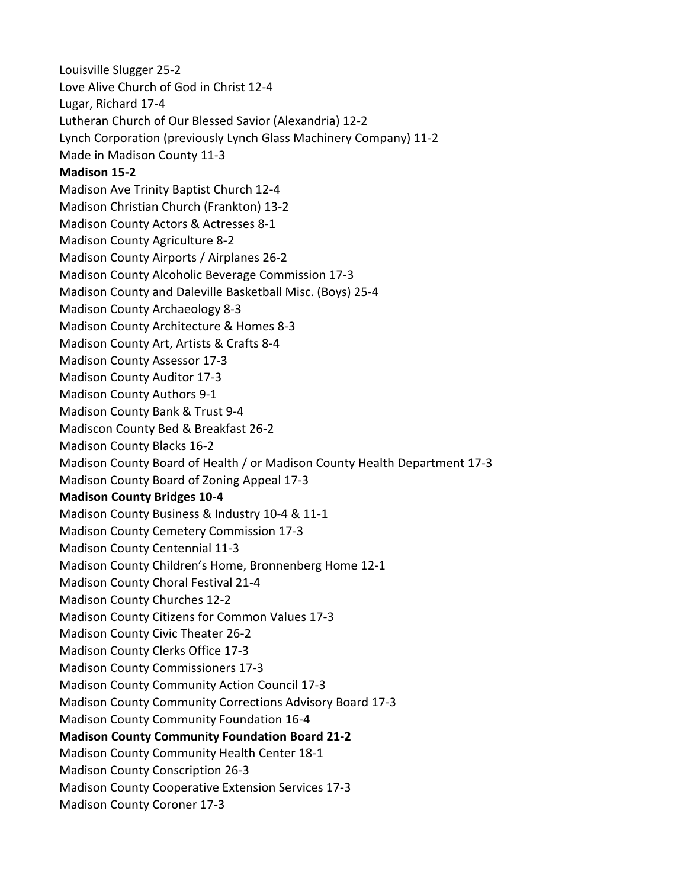Louisville Slugger 25-2 Love Alive Church of God in Christ 12-4 Lugar, Richard 17-4 Lutheran Church of Our Blessed Savior (Alexandria) 12-2 Lynch Corporation (previously Lynch Glass Machinery Company) 11-2 Made in Madison County 11-3 **Madison 15-2** Madison Ave Trinity Baptist Church 12-4 Madison Christian Church (Frankton) 13-2 Madison County Actors & Actresses 8-1 Madison County Agriculture 8-2 Madison County Airports / Airplanes 26-2 Madison County Alcoholic Beverage Commission 17-3 Madison County and Daleville Basketball Misc. (Boys) 25-4 Madison County Archaeology 8-3 Madison County Architecture & Homes 8-3 Madison County Art, Artists & Crafts 8-4 Madison County Assessor 17-3 Madison County Auditor 17-3 Madison County Authors 9-1 Madison County Bank & Trust 9-4 Madiscon County Bed & Breakfast 26-2 Madison County Blacks 16-2 Madison County Board of Health / or Madison County Health Department 17-3 Madison County Board of Zoning Appeal 17-3 **Madison County Bridges 10-4** Madison County Business & Industry 10-4 & 11-1 Madison County Cemetery Commission 17-3 Madison County Centennial 11-3 Madison County Children's Home, Bronnenberg Home 12-1 Madison County Choral Festival 21-4 Madison County Churches 12-2 Madison County Citizens for Common Values 17-3 Madison County Civic Theater 26-2 Madison County Clerks Office 17-3 Madison County Commissioners 17-3 Madison County Community Action Council 17-3 Madison County Community Corrections Advisory Board 17-3 Madison County Community Foundation 16-4 **Madison County Community Foundation Board 21-2** Madison County Community Health Center 18-1 Madison County Conscription 26-3 Madison County Cooperative Extension Services 17-3 Madison County Coroner 17-3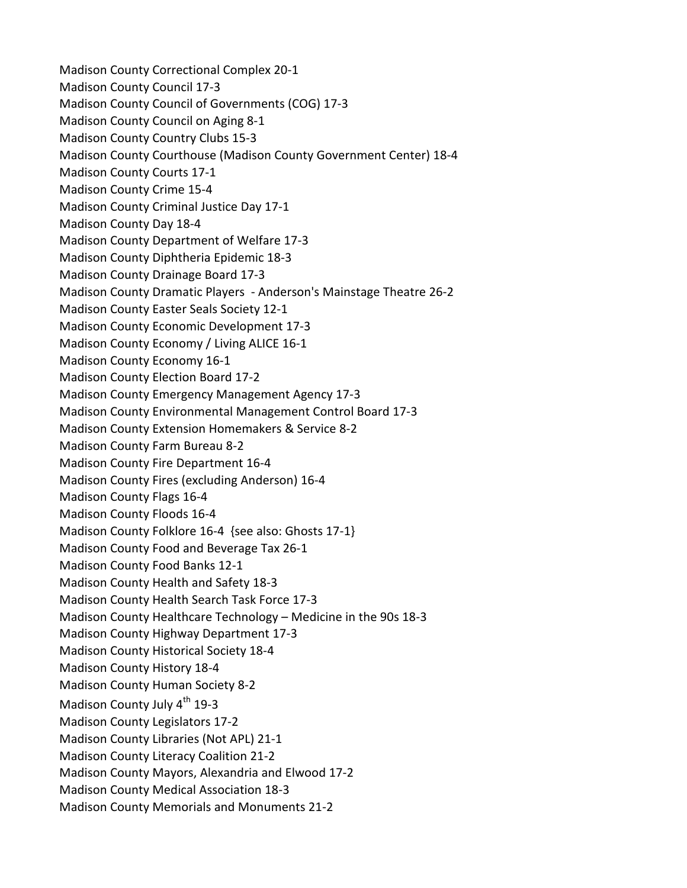Madison County Correctional Complex 20-1 Madison County Council 17-3 Madison County Council of Governments (COG) 17-3 Madison County Council on Aging 8-1 Madison County Country Clubs 15-3 Madison County Courthouse (Madison County Government Center) 18-4 Madison County Courts 17-1 Madison County Crime 15-4 Madison County Criminal Justice Day 17-1 Madison County Day 18-4 Madison County Department of Welfare 17-3 Madison County Diphtheria Epidemic 18-3 Madison County Drainage Board 17-3 Madison County Dramatic Players - Anderson's Mainstage Theatre 26-2 Madison County Easter Seals Society 12-1 Madison County Economic Development 17-3 Madison County Economy / Living ALICE 16-1 Madison County Economy 16-1 Madison County Election Board 17-2 Madison County Emergency Management Agency 17-3 Madison County Environmental Management Control Board 17-3 Madison County Extension Homemakers & Service 8-2 Madison County Farm Bureau 8-2 Madison County Fire Department 16-4 Madison County Fires (excluding Anderson) 16-4 Madison County Flags 16-4 Madison County Floods 16-4 Madison County Folklore 16-4 {see also: Ghosts 17-1} Madison County Food and Beverage Tax 26-1 Madison County Food Banks 12-1 Madison County Health and Safety 18-3 Madison County Health Search Task Force 17-3 Madison County Healthcare Technology – Medicine in the 90s 18-3 Madison County Highway Department 17-3 Madison County Historical Society 18-4 Madison County History 18-4 Madison County Human Society 8-2 Madison County July 4<sup>th</sup> 19-3 Madison County Legislators 17-2 Madison County Libraries (Not APL) 21-1 Madison County Literacy Coalition 21-2 Madison County Mayors, Alexandria and Elwood 17-2 Madison County Medical Association 18-3 Madison County Memorials and Monuments 21-2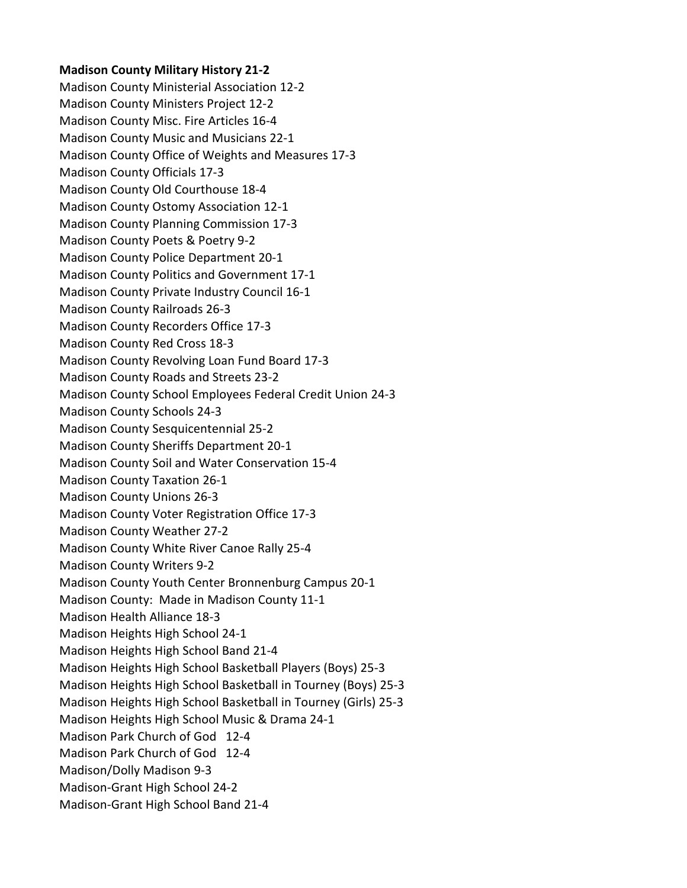## **Madison County Military History 21-2**

Madison County Ministerial Association 12-2 Madison County Ministers Project 12-2 Madison County Misc. Fire Articles 16-4 Madison County Music and Musicians 22-1 Madison County Office of Weights and Measures 17-3 Madison County Officials 17-3 Madison County Old Courthouse 18-4 Madison County Ostomy Association 12-1 Madison County Planning Commission 17-3 Madison County Poets & Poetry 9-2 Madison County Police Department 20-1 Madison County Politics and Government 17-1 Madison County Private Industry Council 16-1 Madison County Railroads 26-3 Madison County Recorders Office 17-3 Madison County Red Cross 18-3 Madison County Revolving Loan Fund Board 17-3 Madison County Roads and Streets 23-2 Madison County School Employees Federal Credit Union 24-3 Madison County Schools 24-3 Madison County Sesquicentennial 25-2 Madison County Sheriffs Department 20-1 Madison County Soil and Water Conservation 15-4 Madison County Taxation 26-1 Madison County Unions 26-3 Madison County Voter Registration Office 17-3 Madison County Weather 27-2 Madison County White River Canoe Rally 25-4 Madison County Writers 9-2 Madison County Youth Center Bronnenburg Campus 20-1 Madison County: Made in Madison County 11-1 Madison Health Alliance 18-3 Madison Heights High School 24-1 Madison Heights High School Band 21-4 Madison Heights High School Basketball Players (Boys) 25-3 Madison Heights High School Basketball in Tourney (Boys) 25-3 Madison Heights High School Basketball in Tourney (Girls) 25-3 Madison Heights High School Music & Drama 24-1 Madison Park Church of God 12-4 Madison Park Church of God 12-4 Madison/Dolly Madison 9-3 Madison-Grant High School 24-2 Madison-Grant High School Band 21-4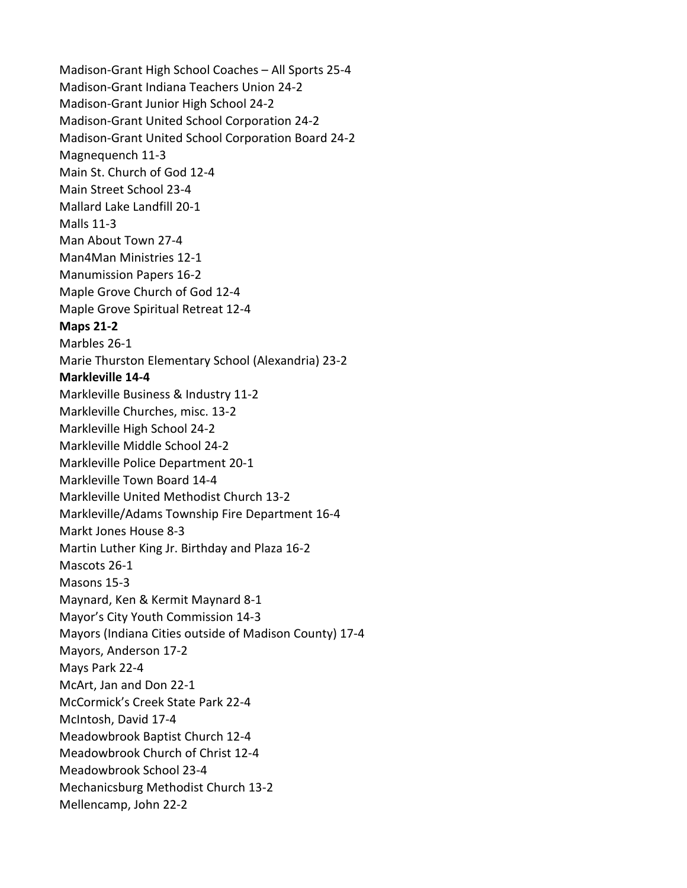Madison-Grant High School Coaches – All Sports 25-4 Madison-Grant Indiana Teachers Union 24-2 Madison-Grant Junior High School 24-2 Madison-Grant United School Corporation 24-2 Madison-Grant United School Corporation Board 24-2 Magnequench 11-3 Main St. Church of God 12-4 Main Street School 23-4 Mallard Lake Landfill 20-1 Malls 11-3 Man About Town 27-4 Man4Man Ministries 12-1 Manumission Papers 16-2 Maple Grove Church of God 12-4 Maple Grove Spiritual Retreat 12-4 **Maps 21-2** Marbles 26-1 Marie Thurston Elementary School (Alexandria) 23-2 **Markleville 14-4** Markleville Business & Industry 11-2 Markleville Churches, misc. 13-2 Markleville High School 24-2 Markleville Middle School 24-2 Markleville Police Department 20-1 Markleville Town Board 14-4 Markleville United Methodist Church 13-2 Markleville/Adams Township Fire Department 16-4 Markt Jones House 8-3 Martin Luther King Jr. Birthday and Plaza 16-2 Mascots 26-1 Masons 15-3 Maynard, Ken & Kermit Maynard 8-1 Mayor's City Youth Commission 14-3 Mayors (Indiana Cities outside of Madison County) 17-4 Mayors, Anderson 17-2 Mays Park 22-4 McArt, Jan and Don 22-1 McCormick's Creek State Park 22-4 McIntosh, David 17-4 Meadowbrook Baptist Church 12-4 Meadowbrook Church of Christ 12-4 Meadowbrook School 23-4 Mechanicsburg Methodist Church 13-2 Mellencamp, John 22-2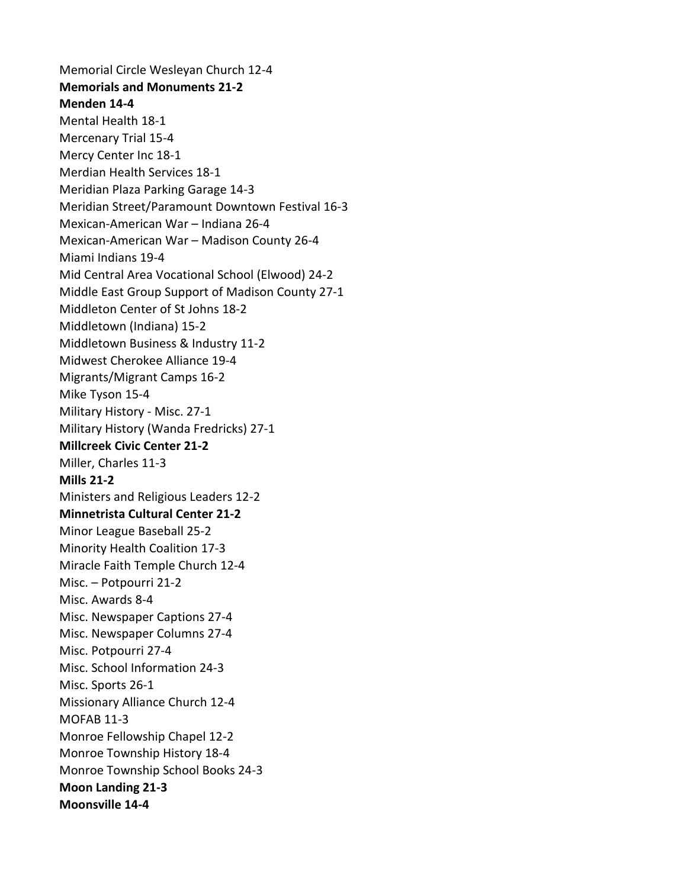Memorial Circle Wesleyan Church 12-4 **Memorials and Monuments 21-2 Menden 14-4** Mental Health 18-1 Mercenary Trial 15-4 Mercy Center Inc 18-1 Merdian Health Services 18-1 Meridian Plaza Parking Garage 14-3 Meridian Street/Paramount Downtown Festival 16-3 Mexican-American War – Indiana 26-4 Mexican-American War – Madison County 26-4 Miami Indians 19-4 Mid Central Area Vocational School (Elwood) 24-2 Middle East Group Support of Madison County 27-1 Middleton Center of St Johns 18-2 Middletown (Indiana) 15-2 Middletown Business & Industry 11-2 Midwest Cherokee Alliance 19-4 Migrants/Migrant Camps 16-2 Mike Tyson 15-4 Military History - Misc. 27-1 Military History (Wanda Fredricks) 27-1 **Millcreek Civic Center 21-2** Miller, Charles 11-3 **Mills 21-2** Ministers and Religious Leaders 12-2 **Minnetrista Cultural Center 21-2** Minor League Baseball 25-2 Minority Health Coalition 17-3 Miracle Faith Temple Church 12-4 Misc. – Potpourri 21-2 Misc. Awards 8-4 Misc. Newspaper Captions 27-4 Misc. Newspaper Columns 27-4 Misc. Potpourri 27-4 Misc. School Information 24-3 Misc. Sports 26-1 Missionary Alliance Church 12-4 MOFAB 11-3 Monroe Fellowship Chapel 12-2 Monroe Township History 18-4 Monroe Township School Books 24-3 **Moon Landing 21-3 Moonsville 14-4**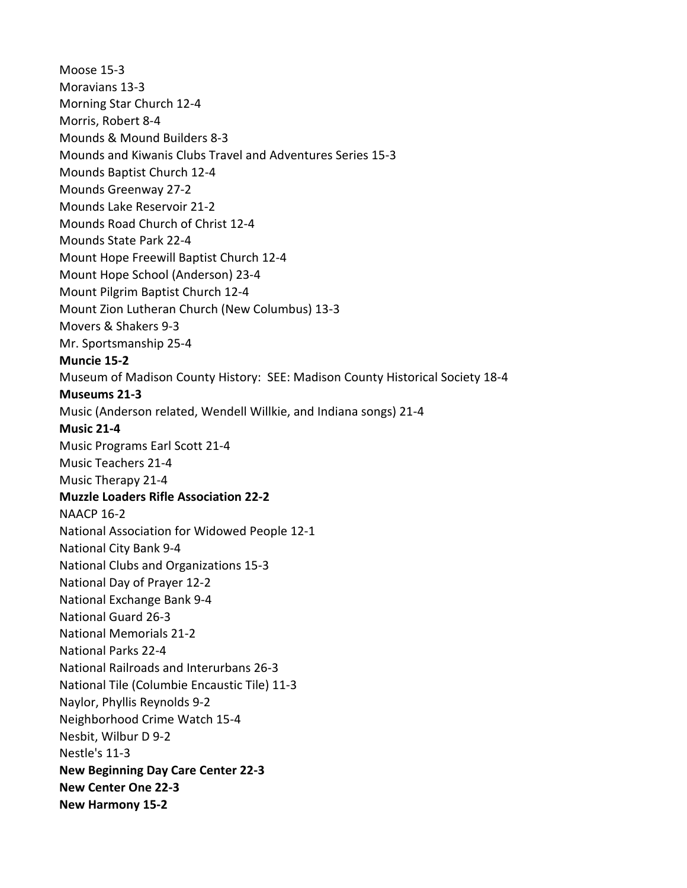Moose 15-3 Moravians 13-3 Morning Star Church 12-4 Morris, Robert 8-4 Mounds & Mound Builders 8-3 Mounds and Kiwanis Clubs Travel and Adventures Series 15-3 Mounds Baptist Church 12-4 Mounds Greenway 27-2 Mounds Lake Reservoir 21-2 Mounds Road Church of Christ 12-4 Mounds State Park 22-4 Mount Hope Freewill Baptist Church 12-4 Mount Hope School (Anderson) 23-4 Mount Pilgrim Baptist Church 12-4 Mount Zion Lutheran Church (New Columbus) 13-3 Movers & Shakers 9-3 Mr. Sportsmanship 25-4 **Muncie 15-2** Museum of Madison County History: SEE: Madison County Historical Society 18-4 **Museums 21-3** Music (Anderson related, Wendell Willkie, and Indiana songs) 21-4 **Music 21-4** Music Programs Earl Scott 21-4 Music Teachers 21-4 Music Therapy 21-4 **Muzzle Loaders Rifle Association 22-2** NAACP 16-2 National Association for Widowed People 12-1 National City Bank 9-4 National Clubs and Organizations 15-3 National Day of Prayer 12-2 National Exchange Bank 9-4 National Guard 26-3 National Memorials 21-2 National Parks 22-4 National Railroads and Interurbans 26-3 National Tile (Columbie Encaustic Tile) 11-3 Naylor, Phyllis Reynolds 9-2 Neighborhood Crime Watch 15-4 Nesbit, Wilbur D 9-2 Nestle's 11-3 **New Beginning Day Care Center 22-3 New Center One 22-3 New Harmony 15-2**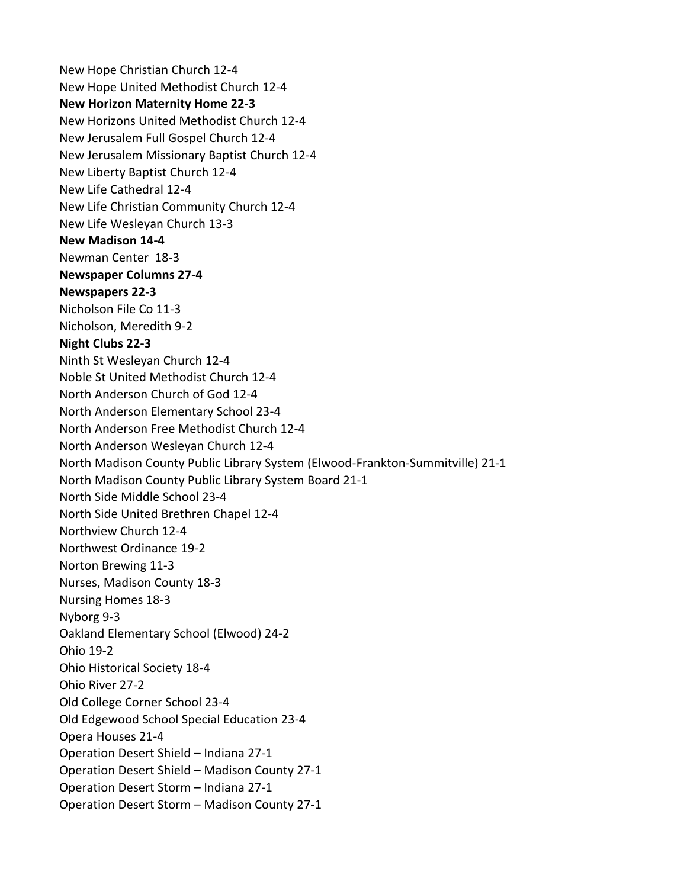New Hope Christian Church 12-4 New Hope United Methodist Church 12-4 **New Horizon Maternity Home 22-3** New Horizons United Methodist Church 12-4 New Jerusalem Full Gospel Church 12-4 New Jerusalem Missionary Baptist Church 12-4 New Liberty Baptist Church 12-4 New Life Cathedral 12-4 New Life Christian Community Church 12-4 New Life Wesleyan Church 13-3 **New Madison 14-4** Newman Center 18-3 **Newspaper Columns 27-4 Newspapers 22-3** Nicholson File Co 11-3 Nicholson, Meredith 9-2 **Night Clubs 22-3** Ninth St Wesleyan Church 12-4 Noble St United Methodist Church 12-4 North Anderson Church of God 12-4 North Anderson Elementary School 23-4 North Anderson Free Methodist Church 12-4 North Anderson Wesleyan Church 12-4 North Madison County Public Library System (Elwood-Frankton-Summitville) 21-1 North Madison County Public Library System Board 21-1 North Side Middle School 23-4 North Side United Brethren Chapel 12-4 Northview Church 12-4 Northwest Ordinance 19-2 Norton Brewing 11-3 Nurses, Madison County 18-3 Nursing Homes 18-3 Nyborg 9-3 Oakland Elementary School (Elwood) 24-2 Ohio 19-2 Ohio Historical Society 18-4 Ohio River 27-2 Old College Corner School 23-4 Old Edgewood School Special Education 23-4 Opera Houses 21-4 Operation Desert Shield – Indiana 27-1 Operation Desert Shield – Madison County 27-1 Operation Desert Storm – Indiana 27-1 Operation Desert Storm – Madison County 27-1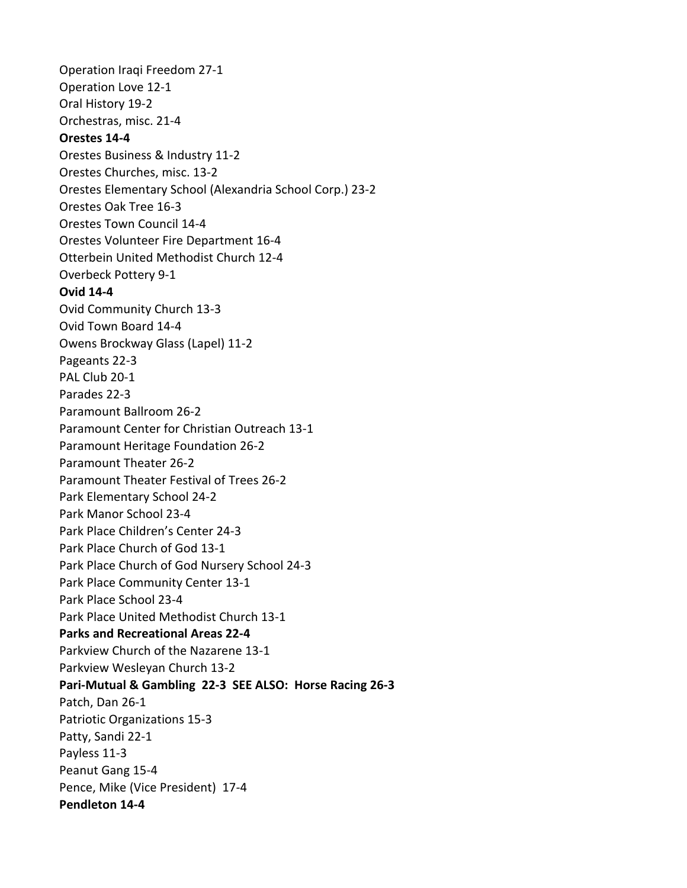Operation Iraqi Freedom 27-1 Operation Love 12-1 Oral History 19-2 Orchestras, misc. 21-4 **Orestes 14-4** Orestes Business & Industry 11-2 Orestes Churches, misc. 13-2 Orestes Elementary School (Alexandria School Corp.) 23-2 Orestes Oak Tree 16-3 Orestes Town Council 14-4 Orestes Volunteer Fire Department 16-4 Otterbein United Methodist Church 12-4 Overbeck Pottery 9-1 **Ovid 14-4** Ovid Community Church 13-3 Ovid Town Board 14-4 Owens Brockway Glass (Lapel) 11-2 Pageants 22-3 PAL Club 20-1 Parades 22-3 Paramount Ballroom 26-2 Paramount Center for Christian Outreach 13-1 Paramount Heritage Foundation 26-2 Paramount Theater 26-2 Paramount Theater Festival of Trees 26-2 Park Elementary School 24-2 Park Manor School 23-4 Park Place Children's Center 24-3 Park Place Church of God 13-1 Park Place Church of God Nursery School 24-3 Park Place Community Center 13-1 Park Place School 23-4 Park Place United Methodist Church 13-1 **Parks and Recreational Areas 22-4** Parkview Church of the Nazarene 13-1 Parkview Wesleyan Church 13-2 **Pari-Mutual & Gambling 22-3 SEE ALSO: Horse Racing 26-3** Patch, Dan 26-1 Patriotic Organizations 15-3 Patty, Sandi 22-1 Payless 11-3 Peanut Gang 15-4 Pence, Mike (Vice President) 17-4 **Pendleton 14-4**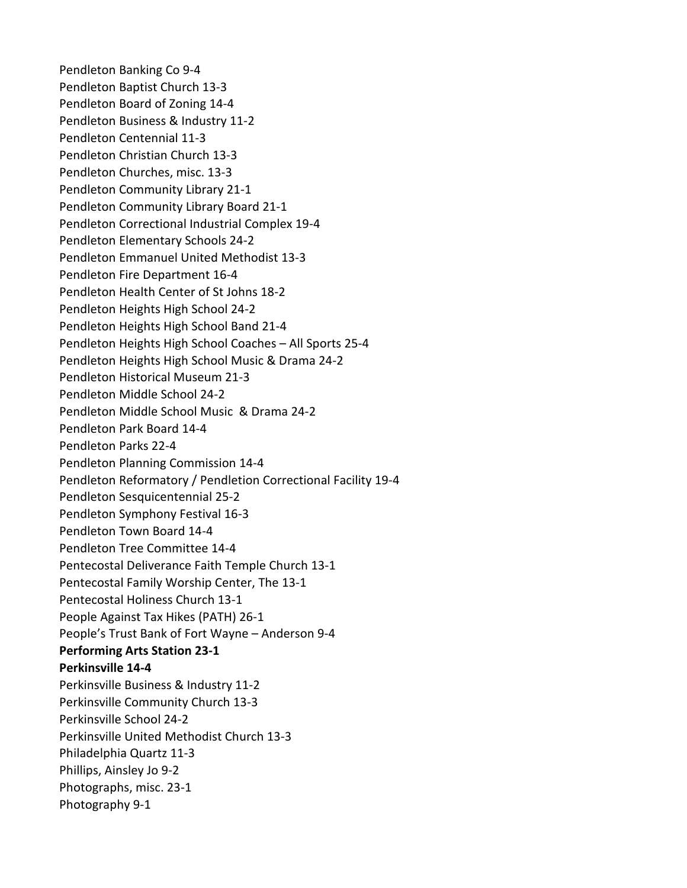Pendleton Banking Co 9-4 Pendleton Baptist Church 13-3 Pendleton Board of Zoning 14-4 Pendleton Business & Industry 11-2 Pendleton Centennial 11-3 Pendleton Christian Church 13-3 Pendleton Churches, misc. 13-3 Pendleton Community Library 21-1 Pendleton Community Library Board 21-1 Pendleton Correctional Industrial Complex 19-4 Pendleton Elementary Schools 24-2 Pendleton Emmanuel United Methodist 13-3 Pendleton Fire Department 16-4 Pendleton Health Center of St Johns 18-2 Pendleton Heights High School 24-2 Pendleton Heights High School Band 21-4 Pendleton Heights High School Coaches – All Sports 25-4 Pendleton Heights High School Music & Drama 24-2 Pendleton Historical Museum 21-3 Pendleton Middle School 24-2 Pendleton Middle School Music & Drama 24-2 Pendleton Park Board 14-4 Pendleton Parks 22-4 Pendleton Planning Commission 14-4 Pendleton Reformatory / Pendletion Correctional Facility 19-4 Pendleton Sesquicentennial 25-2 Pendleton Symphony Festival 16-3 Pendleton Town Board 14-4 Pendleton Tree Committee 14-4 Pentecostal Deliverance Faith Temple Church 13-1 Pentecostal Family Worship Center, The 13-1 Pentecostal Holiness Church 13-1 People Against Tax Hikes (PATH) 26-1 People's Trust Bank of Fort Wayne – Anderson 9-4 **Performing Arts Station 23-1 Perkinsville 14-4** Perkinsville Business & Industry 11-2 Perkinsville Community Church 13-3 Perkinsville School 24-2 Perkinsville United Methodist Church 13-3 Philadelphia Quartz 11-3 Phillips, Ainsley Jo 9-2 Photographs, misc. 23-1 Photography 9-1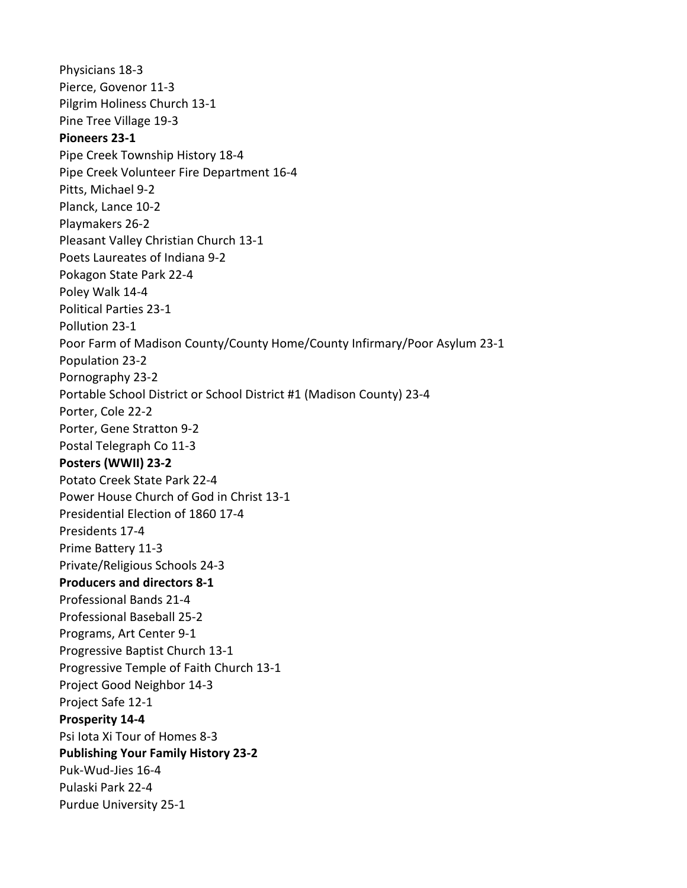Physicians 18-3 Pierce, Govenor 11-3 Pilgrim Holiness Church 13-1 Pine Tree Village 19-3 **Pioneers 23-1** Pipe Creek Township History 18-4 Pipe Creek Volunteer Fire Department 16-4 Pitts, Michael 9-2 Planck, Lance 10-2 Playmakers 26-2 Pleasant Valley Christian Church 13-1 Poets Laureates of Indiana 9-2 Pokagon State Park 22-4 Poley Walk 14-4 Political Parties 23-1 Pollution 23-1 Poor Farm of Madison County/County Home/County Infirmary/Poor Asylum 23-1 Population 23-2 Pornography 23-2 Portable School District or School District #1 (Madison County) 23-4 Porter, Cole 22-2 Porter, Gene Stratton 9-2 Postal Telegraph Co 11-3 **Posters (WWII) 23-2** Potato Creek State Park 22-4 Power House Church of God in Christ 13-1 Presidential Election of 1860 17-4 Presidents 17-4 Prime Battery 11-3 Private/Religious Schools 24-3 **Producers and directors 8-1** Professional Bands 21-4 Professional Baseball 25-2 Programs, Art Center 9-1 Progressive Baptist Church 13-1 Progressive Temple of Faith Church 13-1 Project Good Neighbor 14-3 Project Safe 12-1 **Prosperity 14-4** Psi Iota Xi Tour of Homes 8-3 **Publishing Your Family History 23-2** Puk-Wud-Jies 16-4 Pulaski Park 22-4 Purdue University 25-1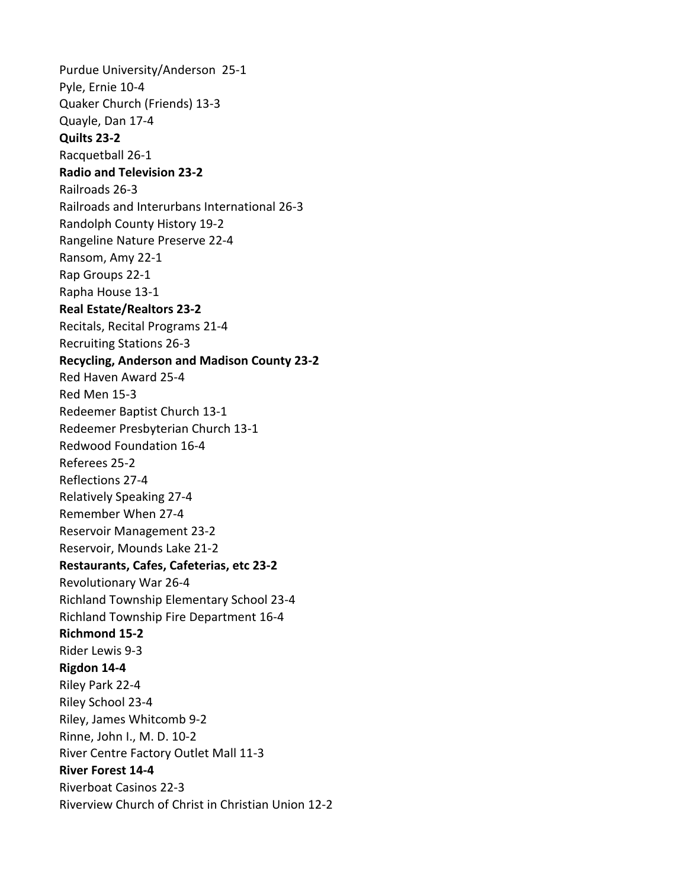Purdue University/Anderson 25-1 Pyle, Ernie 10-4 Quaker Church (Friends) 13-3 Quayle, Dan 17-4 **Quilts 23-2** Racquetball 26-1 **Radio and Television 23-2** Railroads 26-3 Railroads and Interurbans International 26-3 Randolph County History 19-2 Rangeline Nature Preserve 22-4 Ransom, Amy 22-1 Rap Groups 22-1 Rapha House 13-1 **Real Estate/Realtors 23-2** Recitals, Recital Programs 21-4 Recruiting Stations 26-3 **Recycling, Anderson and Madison County 23-2** Red Haven Award 25-4 Red Men 15-3 Redeemer Baptist Church 13-1 Redeemer Presbyterian Church 13-1 Redwood Foundation 16-4 Referees 25-2 Reflections 27-4 Relatively Speaking 27-4 Remember When 27-4 Reservoir Management 23-2 Reservoir, Mounds Lake 21-2 **Restaurants, Cafes, Cafeterias, etc 23-2** Revolutionary War 26-4 Richland Township Elementary School 23-4 Richland Township Fire Department 16-4 **Richmond 15-2** Rider Lewis 9-3 **Rigdon 14-4** Riley Park 22-4 Riley School 23-4 Riley, James Whitcomb 9-2 Rinne, John I., M. D. 10-2 River Centre Factory Outlet Mall 11-3 **River Forest 14-4** Riverboat Casinos 22-3 Riverview Church of Christ in Christian Union 12-2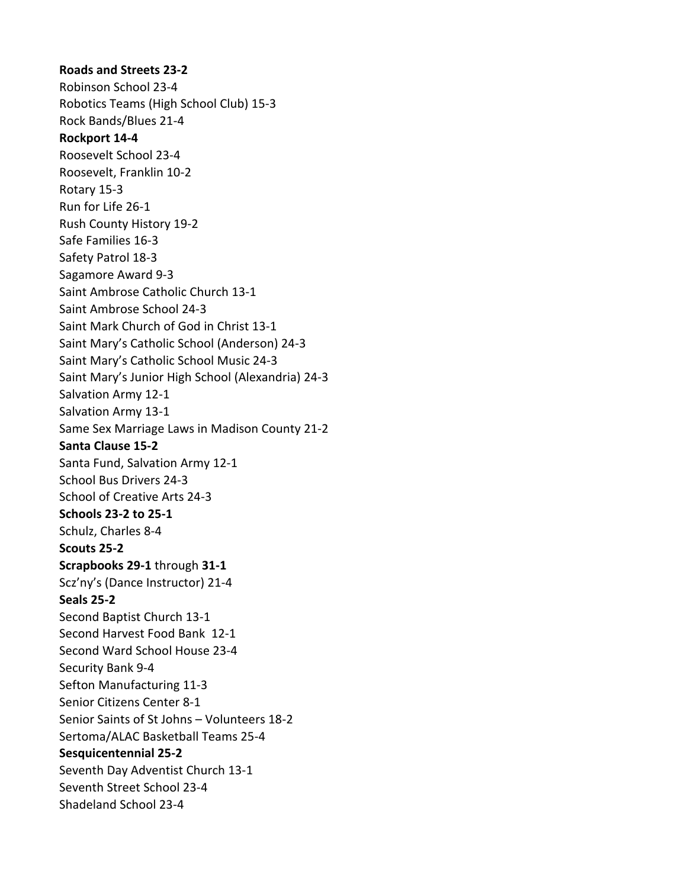**Roads and Streets 23-2** Robinson School 23-4 Robotics Teams (High School Club) 15-3 Rock Bands/Blues 21-4 **Rockport 14-4** Roosevelt School 23-4 Roosevelt, Franklin 10-2 Rotary 15-3 Run for Life 26-1 Rush County History 19-2 Safe Families 16-3 Safety Patrol 18-3 Sagamore Award 9-3 Saint Ambrose Catholic Church 13-1 Saint Ambrose School 24-3 Saint Mark Church of God in Christ 13-1 Saint Mary's Catholic School (Anderson) 24-3 Saint Mary's Catholic School Music 24-3 Saint Mary's Junior High School (Alexandria) 24-3 Salvation Army 12-1 Salvation Army 13-1 Same Sex Marriage Laws in Madison County 21-2 **Santa Clause 15-2** Santa Fund, Salvation Army 12-1 School Bus Drivers 24-3 School of Creative Arts 24-3 **Schools 23-2 to 25-1** Schulz, Charles 8-4 **Scouts 25-2 Scrapbooks 29-1** through **31-1** Scz'ny's (Dance Instructor) 21-4 **Seals 25-2** Second Baptist Church 13-1 Second Harvest Food Bank 12-1 Second Ward School House 23-4 Security Bank 9-4 Sefton Manufacturing 11-3 Senior Citizens Center 8-1 Senior Saints of St Johns – Volunteers 18-2 Sertoma/ALAC Basketball Teams 25-4 **Sesquicentennial 25-2** Seventh Day Adventist Church 13-1 Seventh Street School 23-4 Shadeland School 23-4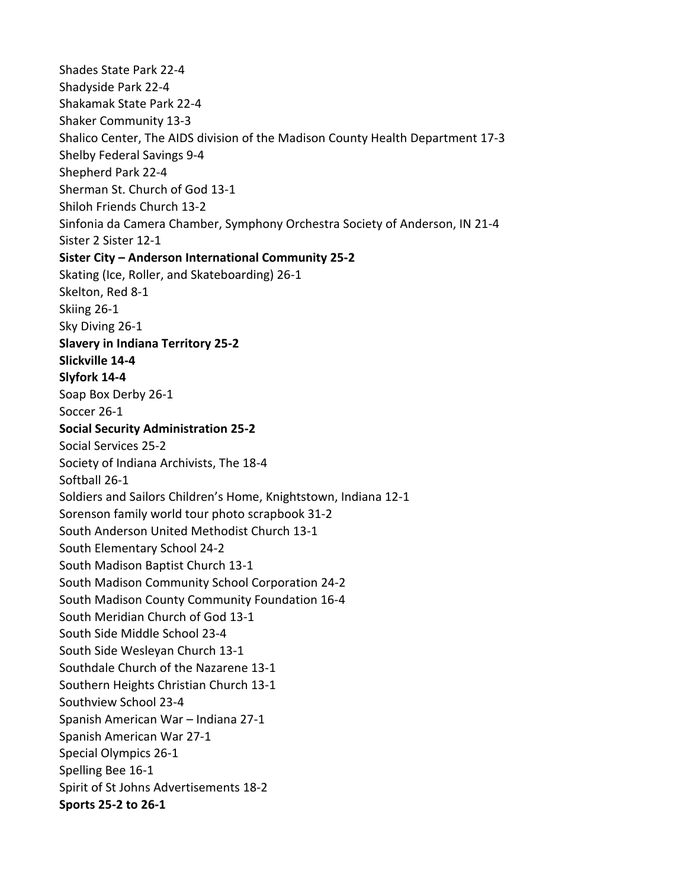Shades State Park 22-4 Shadyside Park 22-4 Shakamak State Park 22-4 Shaker Community 13-3 Shalico Center, The AIDS division of the Madison County Health Department 17-3 Shelby Federal Savings 9-4 Shepherd Park 22-4 Sherman St. Church of God 13-1 Shiloh Friends Church 13-2 Sinfonia da Camera Chamber, Symphony Orchestra Society of Anderson, IN 21-4 Sister 2 Sister 12-1 **Sister City – Anderson International Community 25-2** Skating (Ice, Roller, and Skateboarding) 26-1 Skelton, Red 8-1 Skiing 26-1 Sky Diving 26-1 **Slavery in Indiana Territory 25-2 Slickville 14-4 Slyfork 14-4** Soap Box Derby 26-1 Soccer 26-1 **Social Security Administration 25-2** Social Services 25-2 Society of Indiana Archivists, The 18-4 Softball 26-1 Soldiers and Sailors Children's Home, Knightstown, Indiana 12-1 Sorenson family world tour photo scrapbook 31-2 South Anderson United Methodist Church 13-1 South Elementary School 24-2 South Madison Baptist Church 13-1 South Madison Community School Corporation 24-2 South Madison County Community Foundation 16-4 South Meridian Church of God 13-1 South Side Middle School 23-4 South Side Wesleyan Church 13-1 Southdale Church of the Nazarene 13-1 Southern Heights Christian Church 13-1 Southview School 23-4 Spanish American War – Indiana 27-1 Spanish American War 27-1 Special Olympics 26-1 Spelling Bee 16-1 Spirit of St Johns Advertisements 18-2 **Sports 25-2 to 26-1**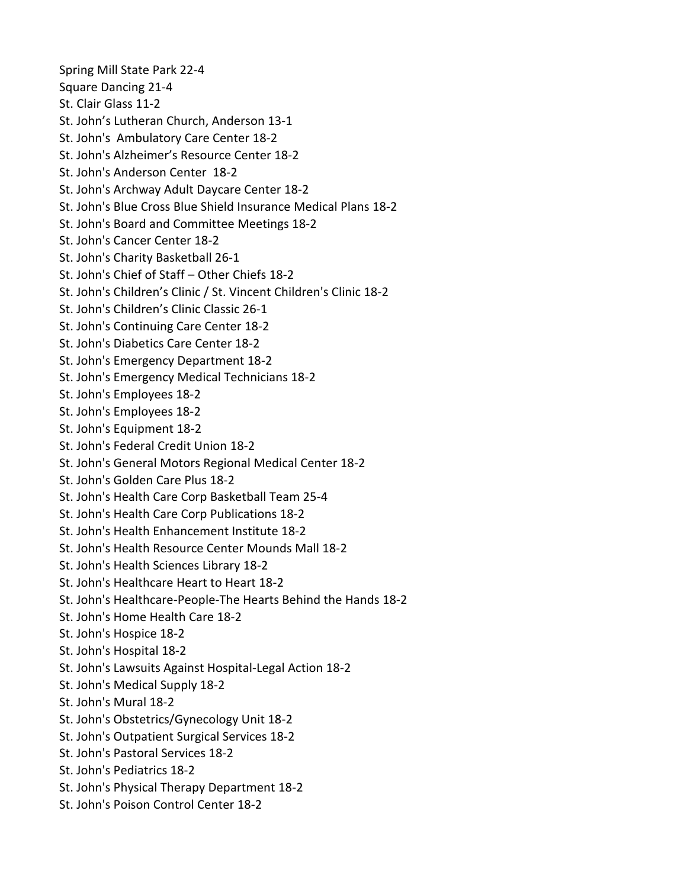Spring Mill State Park 22-4 Square Dancing 21-4 St. Clair Glass 11-2 St. John's Lutheran Church, Anderson 13-1 St. John's Ambulatory Care Center 18-2 St. John's Alzheimer's Resource Center 18-2 St. John's Anderson Center 18-2 St. John's Archway Adult Daycare Center 18-2 St. John's Blue Cross Blue Shield Insurance Medical Plans 18-2 St. John's Board and Committee Meetings 18-2 St. John's Cancer Center 18-2 St. John's Charity Basketball 26-1 St. John's Chief of Staff – Other Chiefs 18-2 St. John's Children's Clinic / St. Vincent Children's Clinic 18-2 St. John's Children's Clinic Classic 26-1 St. John's Continuing Care Center 18-2 St. John's Diabetics Care Center 18-2 St. John's Emergency Department 18-2 St. John's Emergency Medical Technicians 18-2 St. John's Employees 18-2 St. John's Employees 18-2 St. John's Equipment 18-2 St. John's Federal Credit Union 18-2 St. John's General Motors Regional Medical Center 18-2 St. John's Golden Care Plus 18-2 St. John's Health Care Corp Basketball Team 25-4 St. John's Health Care Corp Publications 18-2 St. John's Health Enhancement Institute 18-2 St. John's Health Resource Center Mounds Mall 18-2 St. John's Health Sciences Library 18-2 St. John's Healthcare Heart to Heart 18-2 St. John's Healthcare-People-The Hearts Behind the Hands 18-2 St. John's Home Health Care 18-2 St. John's Hospice 18-2 St. John's Hospital 18-2 St. John's Lawsuits Against Hospital-Legal Action 18-2 St. John's Medical Supply 18-2 St. John's Mural 18-2 St. John's Obstetrics/Gynecology Unit 18-2 St. John's Outpatient Surgical Services 18-2 St. John's Pastoral Services 18-2 St. John's Pediatrics 18-2 St. John's Physical Therapy Department 18-2

St. John's Poison Control Center 18-2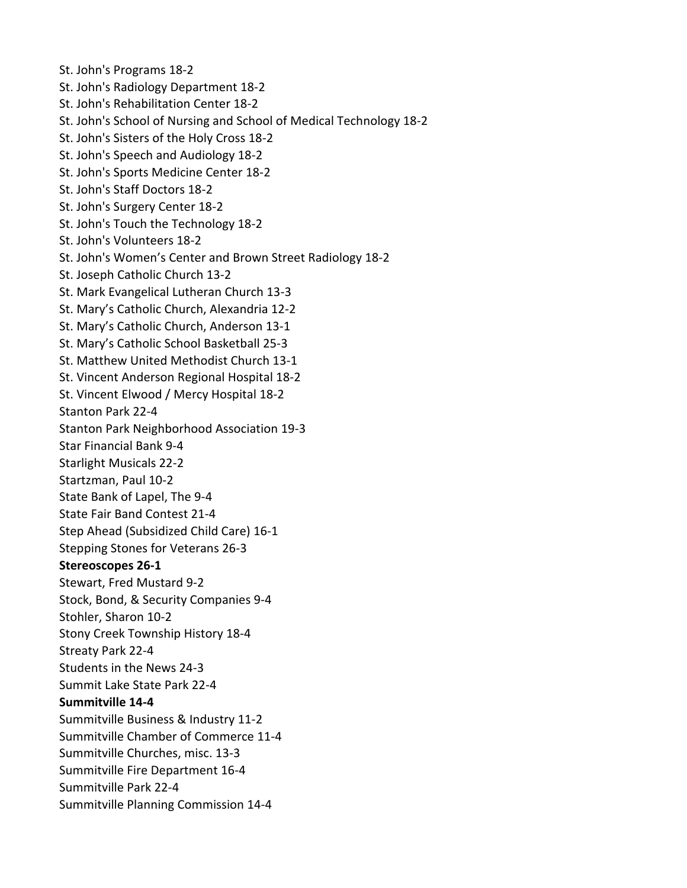St. John's Programs 18-2 St. John's Radiology Department 18-2 St. John's Rehabilitation Center 18-2 St. John's School of Nursing and School of Medical Technology 18-2 St. John's Sisters of the Holy Cross 18-2 St. John's Speech and Audiology 18-2 St. John's Sports Medicine Center 18-2 St. John's Staff Doctors 18-2 St. John's Surgery Center 18-2 St. John's Touch the Technology 18-2 St. John's Volunteers 18-2 St. John's Women's Center and Brown Street Radiology 18-2 St. Joseph Catholic Church 13-2 St. Mark Evangelical Lutheran Church 13-3 St. Mary's Catholic Church, Alexandria 12-2 St. Mary's Catholic Church, Anderson 13-1 St. Mary's Catholic School Basketball 25-3 St. Matthew United Methodist Church 13-1 St. Vincent Anderson Regional Hospital 18-2 St. Vincent Elwood / Mercy Hospital 18-2 Stanton Park 22-4 Stanton Park Neighborhood Association 19-3 Star Financial Bank 9-4 Starlight Musicals 22-2 Startzman, Paul 10-2 State Bank of Lapel, The 9-4 State Fair Band Contest 21-4 Step Ahead (Subsidized Child Care) 16-1 Stepping Stones for Veterans 26-3 **Stereoscopes 26-1** Stewart, Fred Mustard 9-2 Stock, Bond, & Security Companies 9-4 Stohler, Sharon 10-2 Stony Creek Township History 18-4 Streaty Park 22-4 Students in the News 24-3 Summit Lake State Park 22-4 **Summitville 14-4** Summitville Business & Industry 11-2 Summitville Chamber of Commerce 11-4 Summitville Churches, misc. 13-3 Summitville Fire Department 16-4 Summitville Park 22-4 Summitville Planning Commission 14-4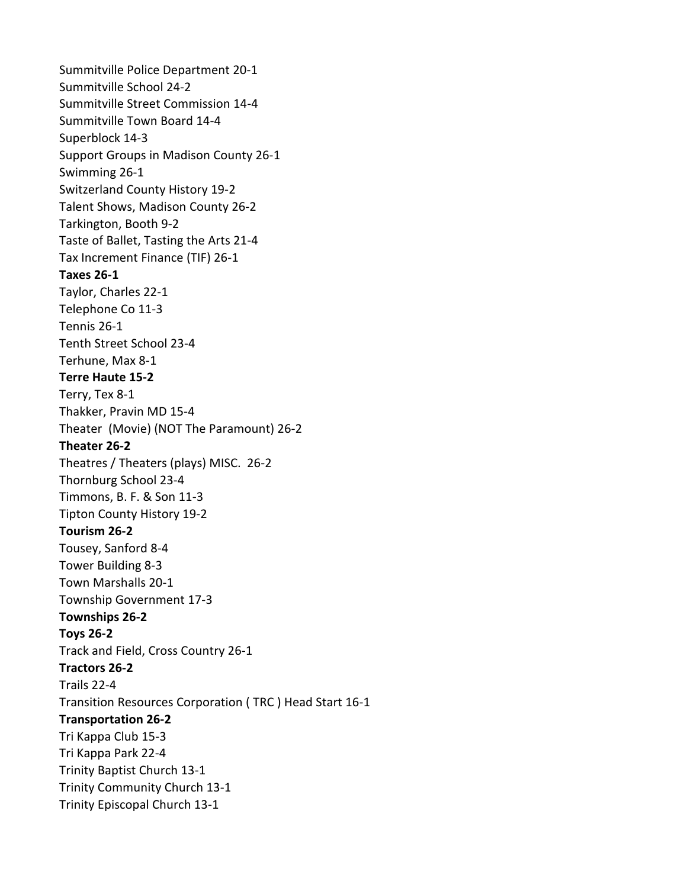Summitville Police Department 20-1 Summitville School 24-2 Summitville Street Commission 14-4 Summitville Town Board 14-4 Superblock 14-3 Support Groups in Madison County 26-1 Swimming 26-1 Switzerland County History 19-2 Talent Shows, Madison County 26-2 Tarkington, Booth 9-2 Taste of Ballet, Tasting the Arts 21-4 Tax Increment Finance (TIF) 26-1 **Taxes 26-1** Taylor, Charles 22-1 Telephone Co 11-3 Tennis 26-1 Tenth Street School 23-4 Terhune, Max 8-1 **Terre Haute 15-2** Terry, Tex 8-1 Thakker, Pravin MD 15-4 Theater (Movie) (NOT The Paramount) 26-2 **Theater 26-2** Theatres / Theaters (plays) MISC. 26-2 Thornburg School 23-4 Timmons, B. F. & Son 11-3 Tipton County History 19-2 **Tourism 26-2** Tousey, Sanford 8-4 Tower Building 8-3 Town Marshalls 20-1 Township Government 17-3 **Townships 26-2 Toys 26-2** Track and Field, Cross Country 26-1 **Tractors 26-2** Trails 22-4 Transition Resources Corporation ( TRC ) Head Start 16-1 **Transportation 26-2** Tri Kappa Club 15-3 Tri Kappa Park 22-4 Trinity Baptist Church 13-1 Trinity Community Church 13-1 Trinity Episcopal Church 13-1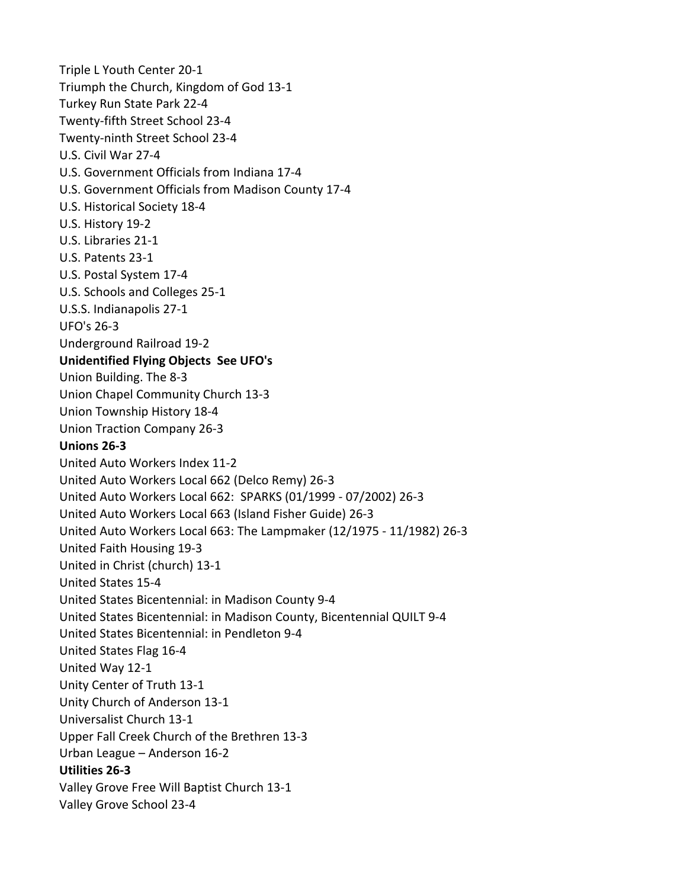Triple L Youth Center 20-1 Triumph the Church, Kingdom of God 13-1 Turkey Run State Park 22-4 Twenty-fifth Street School 23-4 Twenty-ninth Street School 23-4 U.S. Civil War 27-4 U.S. Government Officials from Indiana 17-4 U.S. Government Officials from Madison County 17-4 U.S. Historical Society 18-4 U.S. History 19-2 U.S. Libraries 21-1 U.S. Patents 23-1 U.S. Postal System 17-4 U.S. Schools and Colleges 25-1 U.S.S. Indianapolis 27-1 UFO's 26-3 Underground Railroad 19-2 **Unidentified Flying Objects See UFO's** Union Building. The 8-3 Union Chapel Community Church 13-3 Union Township History 18-4 Union Traction Company 26-3 **Unions 26-3** United Auto Workers Index 11-2 United Auto Workers Local 662 (Delco Remy) 26-3 United Auto Workers Local 662: SPARKS (01/1999 - 07/2002) 26-3 United Auto Workers Local 663 (Island Fisher Guide) 26-3 United Auto Workers Local 663: The Lampmaker (12/1975 - 11/1982) 26-3 United Faith Housing 19-3 United in Christ (church) 13-1 United States 15-4 United States Bicentennial: in Madison County 9-4 United States Bicentennial: in Madison County, Bicentennial QUILT 9-4 United States Bicentennial: in Pendleton 9-4 United States Flag 16-4 United Way 12-1 Unity Center of Truth 13-1 Unity Church of Anderson 13-1 Universalist Church 13-1 Upper Fall Creek Church of the Brethren 13-3 Urban League – Anderson 16-2 **Utilities 26-3** Valley Grove Free Will Baptist Church 13-1 Valley Grove School 23-4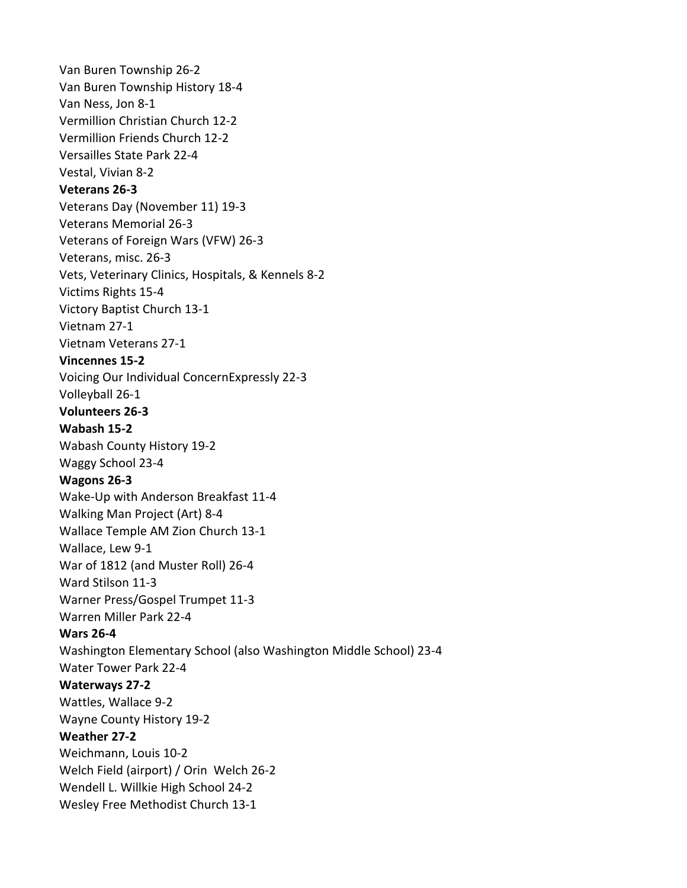Van Buren Township 26-2 Van Buren Township History 18-4 Van Ness, Jon 8-1 Vermillion Christian Church 12-2 Vermillion Friends Church 12-2 Versailles State Park 22-4 Vestal, Vivian 8-2 **Veterans 26-3** Veterans Day (November 11) 19-3 Veterans Memorial 26-3 Veterans of Foreign Wars (VFW) 26-3 Veterans, misc. 26-3 Vets, Veterinary Clinics, Hospitals, & Kennels 8-2 Victims Rights 15-4 Victory Baptist Church 13-1 Vietnam 27-1 Vietnam Veterans 27-1 **Vincennes 15-2** Voicing Our Individual ConcernExpressly 22-3 Volleyball 26-1 **Volunteers 26-3 Wabash 15-2** Wabash County History 19-2 Waggy School 23-4 **Wagons 26-3** Wake-Up with Anderson Breakfast 11-4 Walking Man Project (Art) 8-4 Wallace Temple AM Zion Church 13-1 Wallace, Lew 9-1 War of 1812 (and Muster Roll) 26-4 Ward Stilson 11-3 Warner Press/Gospel Trumpet 11-3 Warren Miller Park 22-4 **Wars 26-4** Washington Elementary School (also Washington Middle School) 23-4 Water Tower Park 22-4 **Waterways 27-2** Wattles, Wallace 9-2 Wayne County History 19-2 **Weather 27-2** Weichmann, Louis 10-2 Welch Field (airport) / Orin Welch 26-2 Wendell L. Willkie High School 24-2 Wesley Free Methodist Church 13-1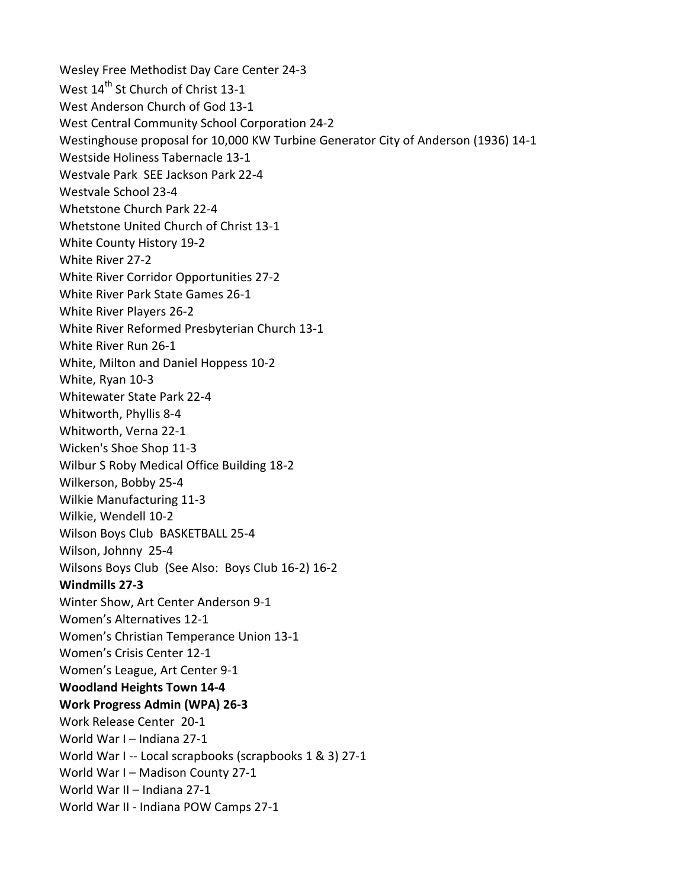Wesley Free Methodist Day Care Center 24-3 West 14<sup>th</sup> St Church of Christ 13-1 West Anderson Church of God 13-1 West Central Community School Corporation 24-2 Westinghouse proposal for 10,000 KW Turbine Generator City of Anderson (1936) 14-1 Westside Holiness Tabernacle 13-1 Westvale Park SEE Jackson Park 22-4 Westvale School 23-4 Whetstone Church Park 22-4 Whetstone United Church of Christ 13-1 White County History 19-2 White River 27-2 White River Corridor Opportunities 27-2 White River Park State Games 26-1 White River Players 26-2 White River Reformed Presbyterian Church 13-1 White River Run 26-1 White, Milton and Daniel Hoppess 10-2 White, Ryan 10-3 Whitewater State Park 22-4 Whitworth, Phyllis 8-4 Whitworth, Verna 22-1 Wicken's Shoe Shop 11-3 Wilbur S Roby Medical Office Building 18-2 Wilkerson, Bobby 25-4 Wilkie Manufacturing 11-3 Wilkie, Wendell 10-2 Wilson Boys Club BASKETBALL 25-4 Wilson, Johnny 25-4 Wilsons Boys Club (See Also: Boys Club 16-2) 16-2 **Windmills 27-3** Winter Show, Art Center Anderson 9-1 Women's Alternatives 12-1 Women's Christian Temperance Union 13-1 Women's Crisis Center 12-1 Women's League, Art Center 9-1 **Woodland Heights Town 14-4 Work Progress Admin (WPA) 26-3** Work Release Center 20-1 World War I – Indiana 27-1 World War I -- Local scrapbooks (scrapbooks 1 & 3) 27-1 World War I – Madison County 27-1 World War II – Indiana 27-1 World War II - Indiana POW Camps 27-1